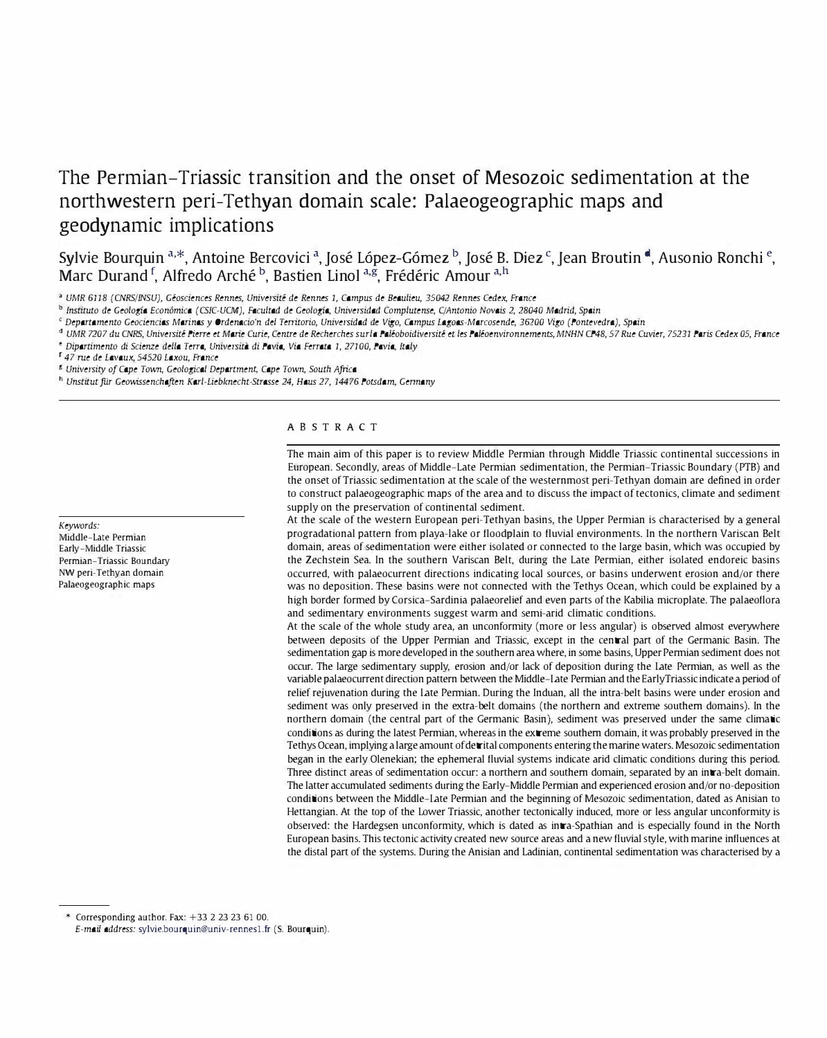# The Permian-Triassic transition and the onset of Mesozoic sedimentation at the northwestern peri-Tethyan domain scale: Palaeogeographic maps and geodynamic implications

Sylvie Bourquin <sup>a,\*</sup>, Antoine Bercovici <sup>a</sup>, José López-Gómez <sup>b</sup>, José B. Diez <sup>c</sup>, Jean Broutin <sup>d</sup>, Ausonio Ronchi <sup>e</sup>, Marc Durand <sup>f</sup>, Alfredo Arché <sup>b</sup>, Bastien Linol <sup>a,g</sup>, Frédéric Amour <sup>a,h</sup>

• UMR 6118 (CNRSIIN5U), Geosciences Rennes, Universite de Rennes 1, Campus de Beaulieu, 35042 Rennes Cedex, France

b Instituto de Geologfa Econ6mica (CSIC-UCM), Facultad de Geologfa, Universidad Complutense, qAntonio Novais 2, 28040 Madrid, Spain

<sup>C</sup>Departamento Geociencias Marinas y Ordenacio'n del Tenitorio, Universidad de Vigo, Campus Lagoas-Marcosende, 36200 Vigo (Pontevedra), Spain

<sup>d</sup> UMR 7207 du CNRS, Université Pierre et Marie Curie, Centre de Recherches surla Paléoboidiversité et les Paléoenvironnements, MNHN CP48, 57 Rue Cuvier, 75231 Paris Cedex 05, France "Dipartimento di Scienze della Terra, Universita di Pavia, Via Ferrata 1, 27100, Pavia, Italy

r 47 me de Lavaux, 54520 Laxou, France

g University of Cape Town, Geological Department, Cape Town, South Africa

h Unstitut für Geowissenchaften Karl-Liebknecht-Strasse 24, Haus 27, 14476 Potsdam, Germany

# ABSTRACT

The main aim of this paper is to review Middle Permian through Middle Triassic continental successions in European. Secondly, areas of Middle-Late Permian sedimentation, the Permian-Triassic Boundary (PIB) and the onset of Triassic sedimentation at the scale of the westernmost peri-Tethyan domain are defined in order to construct palaeogeographic maps of the area and to discuss the impact of tectonics, climate and sediment supply on the preservation of continental sediment.

At the scale of the western European peri-Tethyan basins, the Upper Permian is characterised by a general progradational pattern from playa-lake or floodplain to fluvial environments. In the northern Variscan Belt domain, areas of sedimentation were either isolated or connected to the large basin, which was occupied by the Zechstein Sea. In the southern Variscan Belt, during the Late Permian, either isolated endoreic basins occurred, with palaeocurrent directions indicating local sources, or basins underwent erosion and/or there was no deposition. These basins were not connected with the Tethys Ocean, which could be explained by a high border formed by Corsica-Sardinia palaeorelief and even parts of the Kabilia microplate. The palaeoflora and sedimentary environments suggest warm and semi-arid climatic conditions.

At the scale of the whole study area, an unconformity (more or less angular) is observed almost everywhere between deposits of the Upper Permian and Triassic, except in the central part of the Germanic Basin. The sedimentation gap is more developed in the southern area where, in some basins, Upper Pennian sediment does not occur. The large sedimentary supply, erosion and/or lack of deposition during the Late Permian, as well as the variable palaeocurrent direction pattern between the Middle-Late Permian and the EarlyTriassic indicate a period of relief rejuvenation during the Late Pennian. During the Induan, all the intra-belt basins were under erosion and sediment was only preserved in the extra-belt domains (the northern and extreme southern domains). In the northern domain (the central part of the Germanic Basin), sediment was preserved under the same climatic conditions as during the latest Permian, whereas in the extreme southern domain, it was probably preserved in the Tethys Ocean, implying a large amount of detrital components entering the marine waters. Mesozoic sedimentation began in the early Olenekian; the ephemeral fluvial systems indicate arid climatic conditions during this period. Three distinct areas of sedimentation occur: a northern and southern domain, separated by an intra-belt domain. The latter accumulated sediments during the Early-Middle Permian and experienced erosion and/or no-deposition conditions between the Middle-Late Pennian and the beginning of Mesozoic sedimentation, dated as Anisian to Hettangian. At the top of the Lower Triassic, another tectonically induced, more or less angular unconformity is observed: the Hardegsen unconformity, which is dated as intra-Spathian and is especially found in the North European basins. This tectonic activity created new source areas and a new fluvial style, with marine influences at the distal part of the systems. During the Anisian and Ladinian, continental sedimentation was characterised by a

\* Corresponding author. Fax: +33 2 23 23 61 00.

Keywords: Middle-Late Permian Early-Middle Triassic Permian-Triassic Boundary NW peri-Tethyan domain Palaeogeographic maps

E-mail address: sylvie.bourquin@univ-rennes1.fr (5. Bourquin).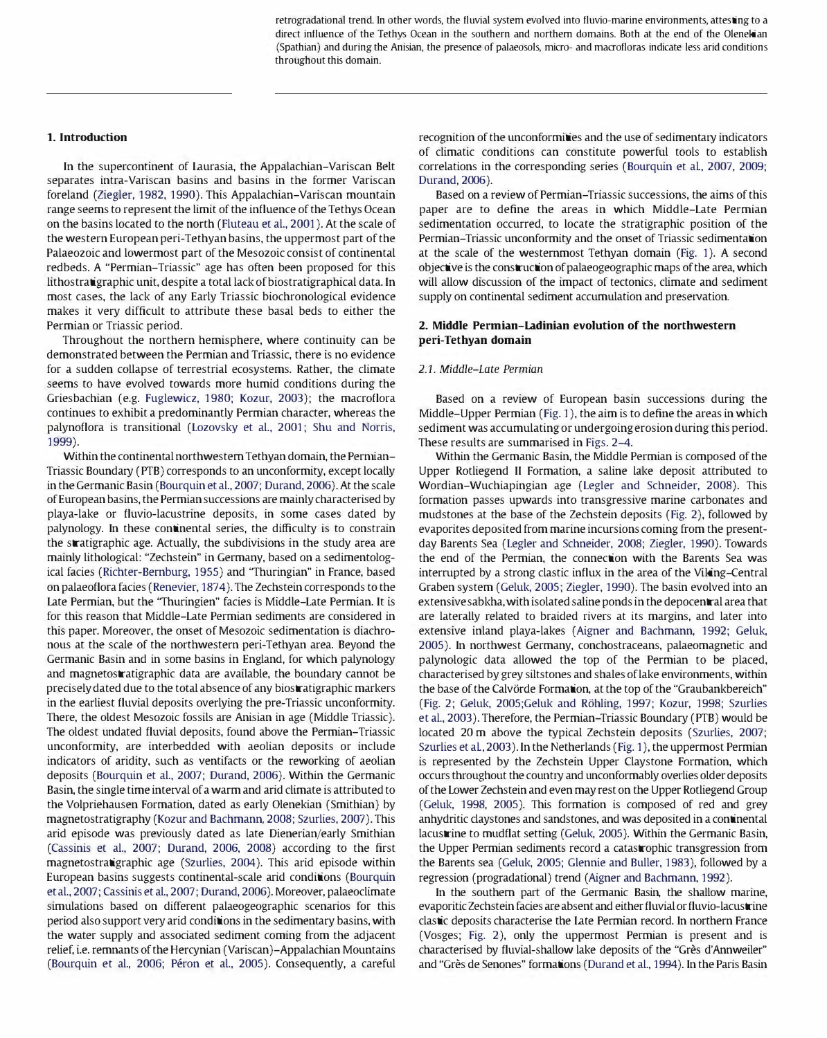retrogradational trend. In other words, the fluvial system evolved into fluvio-marine environments, attesting to a direct influence of the Tethys Ocean in the southern and northern domains. Both at the end of the Olenekian (Spathian) and during the Anisian, the presence of palaeosols, micro- and macrofloras indicate less arid conditions throughout this domain.

## 1. Introduction

In the supercontinent of Laurasia, the Appalachian-Variscan Belt separates intra-Variscan basins and basins in the former Variscan foreland (Ziegler, 1982, 1990). This Appalachian-Variscan mountain range seems to represent the limit of the influence of the Tethys Ocean on the basins located to the north (Fluteau et al., 2001). At the scale of the western European peri-Tethyan basins, the uppermost part of the Palaeozoic and lowermost part of the Mesozoic consist of continental redbeds. A "Permian-Triassic" age has often been proposed for this lithostratigraphic unit, despite a total lack of biostratigraphical data. In most cases, the lack of any Early Triassic biochronological evidence makes it very difficult to attribute these basal beds to either the Permian or Triassic period.

Throughout the northern hemisphere, where continuity can be demonstrated between the Permian and Triassic, there is no evidence for a sudden collapse of terrestrial ecosystems. Rather, the climate seems to have evolved towards more humid conditions during the Griesbachian (e.g. Fuglewicz, 1980; Kozur, 2003); the macroflora continues to exhibit a predominantly Permian character, whereas the palynoflora is transitional (Lozovsky et al., 2001; Shu and Norris, 1999).

Within the continental northwestern Tethyan domain, the Perrnian-Triassic Boundary (PTB) corresponds to an unconformity, except locally in the Germanic Basin (Bourquin et al., 2007; Durand, 2006). At the scale of European basins, the Permiansuccessions are mainly characterised by playa-lake or fluvio-lacustrine deposits, in some cases dated by palynology. In these continental series, the difficulty is to constrain the stratigraphic age. Actually, the subdivisions in the study area are mainly lithological: "Zechstein" in Germany, based on a sedimentological facies (Richter-Bernburg, 1955) and "Thuringian" in France, based on palaeoflora facies (Renevier, 1874). The Zechstein corresponds to the Late Permian, but the "Thuringien" facies is Middle-Late Permian. It is for this reason that Middle-Late Permian sediments are considered in this paper. Moreover, the onset of Mesozoic sedimentation is diachronous at the scale of the northwestern peri-Tethyan area. Beyond the Germanic Basin and in some basins in Engiand, for which palynology and magnetostratigraphic data are available, the boundary cannot be precisely dated due to the total absence of any biostratigraphic markers in the earliest fluvial deposits overlying the pre-Triassic unconformity. There, the oldest Mesozoic fossils are Anisian in age (Middle Triassic). The oldest undated fluvial deposits, found above the Permian-Triassic unconformity, are interbedded with aeolian deposits or include indicators of aridity, such as ventifacts or the reworking of aeolian deposits (Bourquin et al., 2007; Durand, 2006). Within the Germanic Basin, the single time interval of a warm and arid climate is attributed to the Volpriehausen Formation, dated as early Olenekian (Smithian) by magnetostratigraphy (Kozur and Bachmann, 2008; Szurlies, 2007). This arid episode was previously dated as late Dienerian/early Smithian (Cassinis et al., 2007; Durand, 2006, 2008) according to the first magnetostratigraphic age (Szurlies, 2004). This arid episode within European basins suggests continental-scale arid conditions (Bourquin et al., 2007; Cassinis et al., 2007; Durand, 2006). Moreover, palaeoclimate simulations based on different palaeogeographic scenarios for this period also support very arid conditions in the sedimentary basins, with the water supply and associated sediment coming from the adjacent relief, i.e. remnants of the Hercynian (Variscan)-Appalachian Mountains (Bourquin et al., 2006; Péron et al., 2005). Consequently, a careful

recognition of the unconformities and the use of sedimentary indicators of climatic conditions can constitute powerful tools to establish correlations in the corresponding series (Bourquin et al, 2007, 2009; Durand,2oo6).

Based on a review of Permian-Triassic successions, the aims of this paper are to define the areas in which Middle-Late Permian sedimentation occurred, to locate the stratigraphic position of the Permian-Triassic unconformity and the onset of Triassic sedimentation at the scale of the westernmost Tethyan domain (Fig. 1). A second objective is the construction of palaeogeographic maps of the area, which will allow discussion of the impact of tectonics, climate and sediment supply on continental sediment accumulation and preservation.

# 2. Middle Permian-Ladinian evolution of the northwestern peri-Tethyan domain

## 2.1. Middle-Late Permian

Based on a review of European basin successions during the Middle-Upper Permian (Fig. 1), the aim is to define the areas in which sediment was accumulating or undergoing erosion during this period. These results are summarised in Figs. 2-4.

Within the Germanic Basin, the Middle Permian is composed of the Upper Rotliegend 11 Formation, a saline lake deposit attributed to Wordian-Wuchiapingian age (Legler and Schneider, 2008). This formation passes upwards into transgressive marine carbonates and mudstones at the base of the Zechstein deposits (Fig. 2), followed by evaporites deposited from marine incursions coming from the presentday Barents Sea (Legler and Schneider, 2008; Ziegler, 1990). Towards the end of the Permian, the connection with the Barents Sea was interrupted by a strong clastic influx in the area of the Viking-Central Graben system (Geluk, 2005; Ziegier, 1990). The basin evolved into an extensive sabkha, with isolated saline ponds in the depocentral area that are laterally related to braided rivers at its margins, and later into extensive inland playa-lakes (Aigner and Bachmann, 1992; Geluk, 2005). In northwest Germany, conchostraceans, palaeomagnetic and palynologic data allowed the top of the Permian to be placed, characterised by grey siltstones and shales of lake environments, within the base of the Calvörde Formation, at the top of the "Graubankbereich" (Fig. 2; Geluk, 2005;Geluk and Rohling, 1997; Kozur, 1998; Szurlies et aL, 2003). Therefore, the Permian-Triassic Boundary (FIB) would be located 20 m above the typical Zechstein deposits (Szurlies, 2007; Szurlies et al, 2003). In the Netherlands (Fig. 1), the uppermost Permian is represented by the Zechstein Upper Claystone Formation, which occurs throughout the country and unconformably overlies older deposits of the Lower Zechstein and even may rest on the Upper Rotliegend Group (Geluk, 1998, 2005). This formation is composed of red and grey anhydritic daystones and sandstones, and was deposited in a continental lacustrine to mudflat setting (Geluk, 2005). Within the Germanic Basin, the Upper Permian sediments record a catastrophic transgression from the Barents sea (Geluk, 2005; Glennie and Buller, 1983), followed by a regression (progradational) trend (Aigner and Bachmann, 1992).

In the southern part of the Germanic Basin, the shallow marine, evaporitic Zechstein facies are absent and either fluvial or fluvio-lacustrine clastic deposits characterise the Late Permian record. In northern France (Vosges; Fig. 2), only the uppermost Permian is present and is characterised by fluvial-shallow lake deposits of the "Grès d'Annweiler" and "Grès de Senones" formations (Durand et al., 1994). In the Paris Basin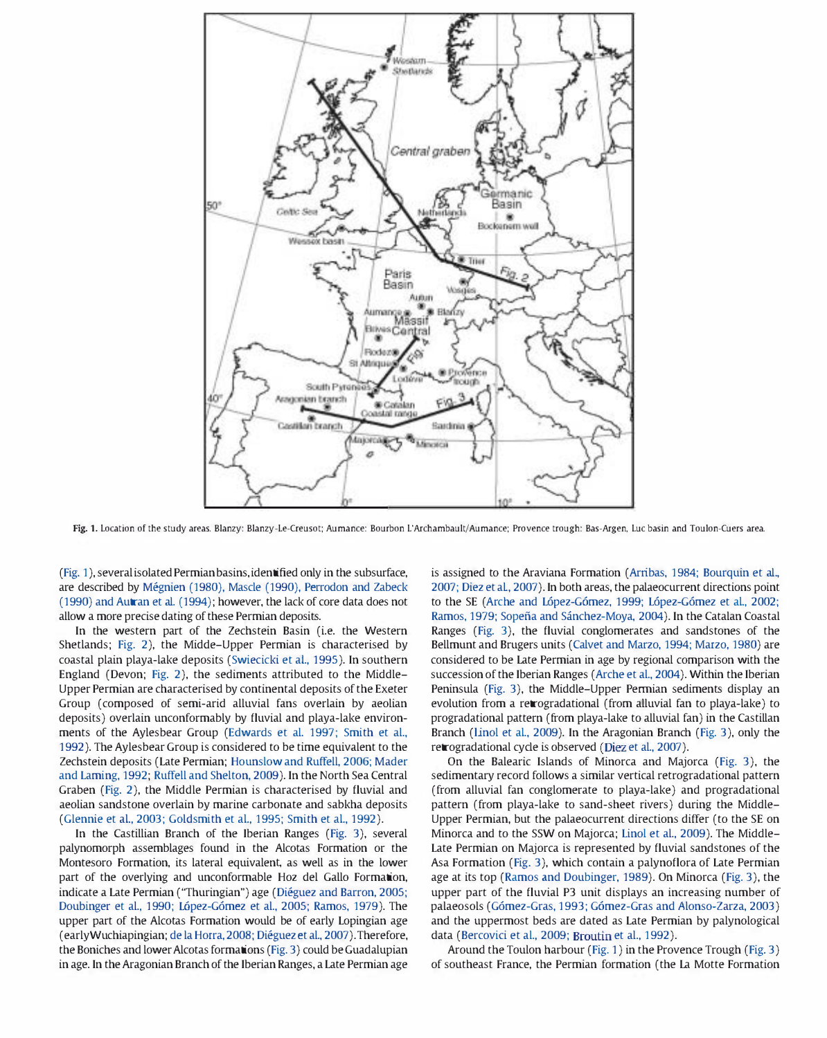

Fig. 1. Location of the study areas. Blanzy: Blanzy-Le-Creusot; Aumance: Bourbon L'Archambault/Aumance; Provence trough: Bas-Argen, Luc basin and Toulon-Cuers area.

(Fig. 1), several isolated Permian basins, identified only in the subsurface, are described by Megnien (1980), Mascle (1990), Perrodon and Zabeck (1990) and Autran et al. (1994); however, the lack of core data does not allow a more precise dating of these Permian deposits.

In the western part of the Zechstein Basin (i.e. the Western Shetlands; Fig. 2), the Midde-Upper Permian is characterised by coastal plain playa-lake deposits (Swiecicki et al., 1995). In southern England (Devon; Fig. 2), the sediments attributed to the Middle-Upper Permian are characterised by continental deposits of the Exeter Group (composed of semi-arid alluvial fans overlain by aeolian deposits) overlain unconformably by fluvial and playa-lake environments of the Aylesbear Group (Edwards et al. 1997; Smith et al., 1992). The Aylesbear Group is considered to be time equivalent to the Zechstein deposits (Late Permian; Hounslow and Ruffell, 2006; Mader and Laming, 1992; Ruffell and Shelton, 2009). In the North Sea Central Graben (Fig. 2), the Middle Permian is characterised by fluvial and aeolian sandstone overlain by marine carbonate and sabkha deposits (Glennie et aI., 2003; Goldsmith et aI., 1995; Smith et aI., 1992).

In the Castillian Branch of the Iberian Ranges (Fig. 3), several palynomorph assemblages found in the Alcotas Formation or the Montesoro Formation, its lateral equivalent, as well as in the lower part of the overlying and unconformable Hoz del Gallo Formation, indicate a Late Permian ("Thuringian") age (Diéguez and Barron, 2005; Doubinger et al., 1990; López-Gómez et al., 2005; Ramos, 1979). The upper part of the Alcotas Formation would be of early Lopingian age (earlyWuchiapingian; de la Horra, 2008; Dieguez et al., 2007). Therefore, the Boniches and lower Alcotas formations (Fig. 3) could be Guadalupian in age. In the Aragonian Branch of the Iberian Ranges, a Late Permian age is assigned to the Araviana Formation (Arribas, 1984; Bourquin et al., 2007; Diez et al, 2007). In both areas, the paiaeocurrent directions point to the SE (Arche and López-Gómez, 1999; López-Gómez et al., 2002; Ramos, 1979; Sopeña and Sánchez-Moya, 2004). In the Catalan Coastal Ranges (Fig. 3), the fluvial congiomerates and sandstones of the Bellmunt and Brugers units (Caivet and Marzo, 1994; Marzo, 1980) are considered to be Late Permian in age by regional comparison with the succession of the Iberian Ranges (Arche et al., 2004). Within the Iberian Peninsula (Fig. 3), the Middle-Upper Perrnian sediments display an evolution from a retrogradational (from alluvial fan to playa-lake) to progradational pattern (from playa-lake to alluvial fan) in the Castilian Branch (Linol et al., 2009). In the Aragonian Branch (Fig. 3), only the retrogradational cyde is observed (Diez et al., 2007).

On the Balearic Islands of Minorca and Majorca (Fig. 3), the sedimentary record follows a similar vertical retrogradational pattern (from alluvial fan conglomerate to playa-lake) and progradational pattern (from playa-lake to sand-sheet rivers) during the Middle-Upper Permian, but the palaeocurrent directions differ (to the SE on Minorca and to the SSW on Majorca; Linol et al., 2009). The Middle-Late Permian on Majorca is represented by fluvial sandstones of the Asa Formation (Fig. 3), which contain a palynoflora of Late Permian age at its top (Ramos and Doubinger, 1989). On Minorca (Fig. 3), the upper part of the fluvial P3 unit displays an increasing number of palaeosols (Gómez-Gras, 1993; Gómez-Gras and Alonso-Zarza, 2003) and the uppermost beds are dated as Late Permian by palynological data (Bercovici et al., 2009; Broutin et al., 1992).

Around the Toulon harbour (Fig. 1) in the Provence Trough (Fig. 3) of southeast France, the Permian formation (the La Motte Formation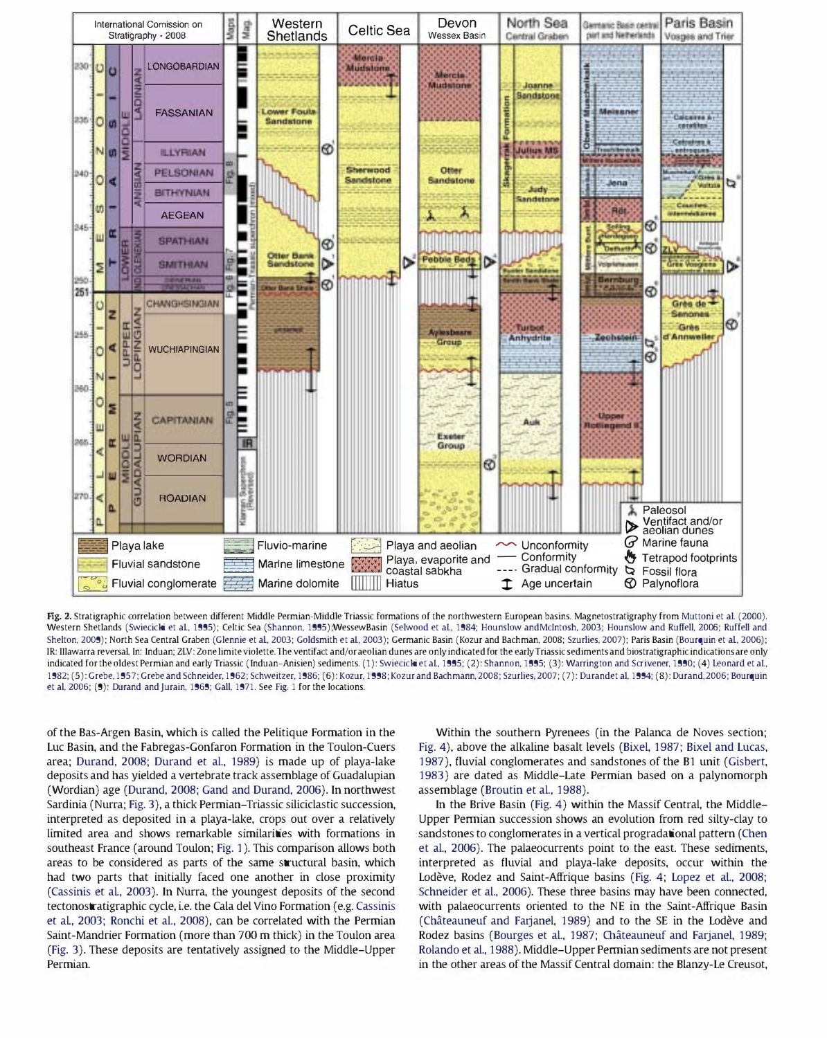

Fig. 2. Stratigraphic correlation between different Middle Permian-Middle Triassic formations of the northwestern European basins. Magnetostratigraphy from Muttoni et al. (2000). Western Shetlands (Swiecicki et al., 1995); Celtic Sea (Shannon, 1995);WessewBasin (Selwood et al., 1984; Hounslow andMcIntosh, 2003; Hounslow and Ruffell, 2006; Ruffell and Shelton, 2009); North Sea Central Graben (Glennie et al, 2003; Goldsmith et al., 2003); Germanic Basin (Kozur and Bachman, 2008; Szurlies, 2007); Paris Basin (Bourquin et al., 2006); IR: IIlawarra reversal. In: Induan: ZLV: Zone limite violette, The ventifact and/or aeolian dunes are only indicated for the earlyTriassic sediments and biostratigraphic indications are only indicated for the oldest Permian and early Triassic (Induan-Anisien) sediments. (1): Swiecicki et al., 1995; (2): Shannon, 1995; (3): Warrington and Scrivener, 1990; (4) Leonard et al., 1982: (5): Grebe, 1957: Grebe and Schneider, 1962: Schweitzer, 1986: (6): Kozur, 1998: Kozur and Bachmann, 2008: Szurlies, 2007: (7): Durandet al. 1994: (8): Durand, 2006: Bourquin et al. 2006; (9): Durand and Jurain, 1969; Gall, 1971. See Fig. 1 for the locations.

of the Bas-Argen Basin, which is called the Pelitique Formation in the Luc Basin, and the Fabregas-Gonfaron Formation in the Toulon-Cuers area; Durand, 2008; Durand et aL, 1989) is made up of playa-lake deposits and has yielded a vertebrate track assemblage of Guadalupian (Wordian) age (Durand, 2008; Gand and Durand, 2006), In northwest Sardinia (Nurra; Fig, 3), a thick Permian-Triassic siliciclastic succession, interpreted as deposited in a playa-lake, crops out over a relatively limited area and shows remarkable similarities with formations in southeast France (around Toulon; Fig, 1), This comparison allows both areas to be considered as parts of the same structural basin, which had two parts that initially faced one another in close proximity (Cassinis et al, 2003), In Nurra, the youngest deposits of the second tectonostratigraphic cycle, i.e. the Cala del Vino Formation (e.g. Cassinis et al, 2003; Ronchi et aL, 2008), can be correlated with the Permian Saint-Mandrier Formation (more than 700 m thick) in the Toulon area (Fig. 3). These deposits are tentatively assigned to the Middle-Upper Permian.

Within the southern Pyrenees (in the Palanca de Noves section; Fig. 4), above the alkaline basalt levels (Bixel, 1987; Bixel and Lucas, 1987), fluvial conglomerates and sandstones of the Bl unit (Gisbert, 1983) are dated as Middle-Late Permian based on a palynomorph assemblage (Broutin et aL, 1988).

In the Brive Basin (Fig. 4) within the Massif Central, the Middle-Upper Perrnian succession shows an evolution from red silty-clay to sandstones to conglomerates in a vertical progradational pattern (Chen et al., 2006). The palaeocurrents point to the east. These sediments, interpreted as fluvial and playa-lake deposits, occur within the Lodève, Rodez and Saint-Affrique basins (Fig. 4; Lopez et al., 2008; Schneider et aL, 2006). These three basins may have been connected, with palaeocurrents oriented to the NE in the Saint-Affrique Basin (Chateauneuf and Farjanel, 1989) and to the SE in the Lodeve and Rodez basins (Bourges et al., 1987; Châteauneuf and Farjanel, 1989; Rolando et al., 1988). Middle-Upper Perrnian sediments are not present in the other areas of the Massif Central domain: the Blanzy-Le Creusot,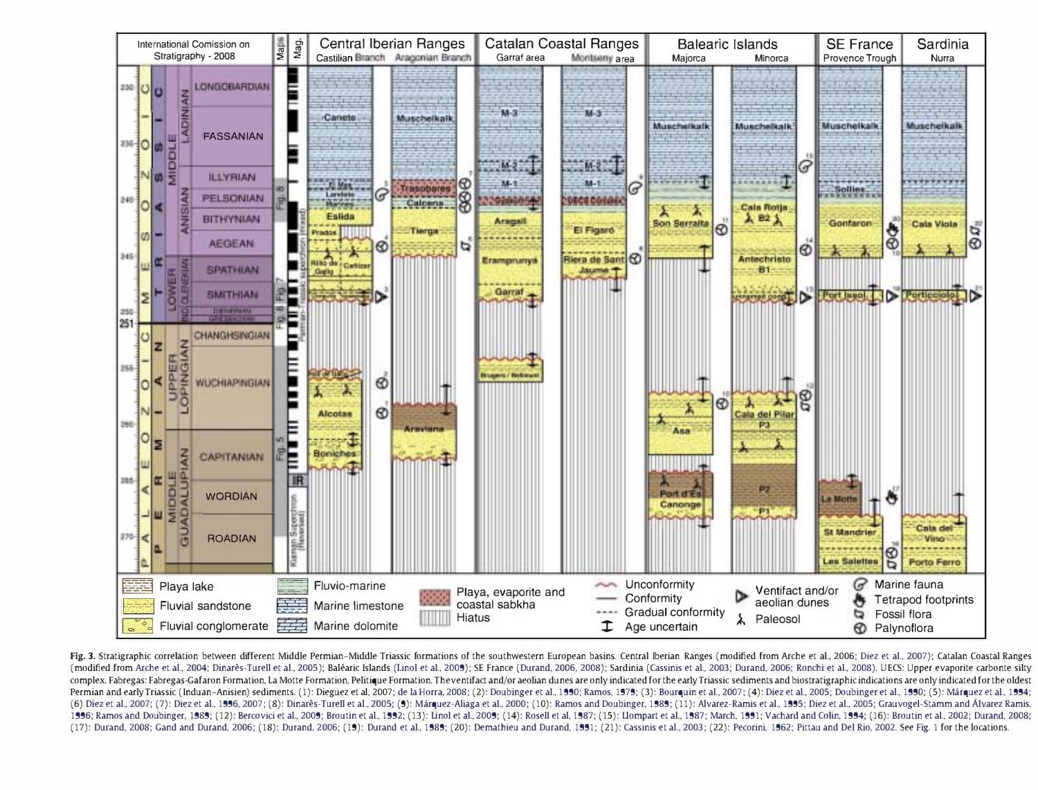

Fig. 3. Stratigraphic correlation between different Middle Permian-Middle Triassic formations of the southwestern European basins. Central Iberian Ranges (modified from Arche et al., 2006; Diez et al., 2007); Catalan Coast (modified from Arche et al., 2004; Dinarès-Turell et al., 2005); Baléaric Islands (Linol et al., 2009); SE France (Durand, 2006, 2008); Sardinia (Cassinis et al., 2003; Durand, 2006; Ronchi et al., 2008). UECS: Upper evapo complex. Fabregas: Fabregas-Gafaron Formation, La Motte Formation, Pelitique Formation. The ventifact and/or aeolian dunes are only indicated for the early Triassic sediments and biostratigraphic indications are only indic Permian and early Triassic (Induan-Anisien) sediments. (1): Dieguez et al. 2007; de la Horra. 2008; (2): Doubinger et al., 1990; Ramos. 1979; (3): Bourguin et al., 2007; (4): Diez et al., 2005; Doubinger et al., 1990; Famo (6) Diez et al., 2007; (7): Diez et al., 1996, 2007; (8): Dinarès-Turell et al., 2005; (9): Márquez-Aliaga et al., 2000; (10): Ramos and Doubinger, 1989; (11): Alvarez-Ramis et al., 1995; Diez et al., 2005; Grauvogel-Stamm 1996; Ramos and Doubinger, 1989; (12): Bercovici et al., 2009; Broutin et al., 1992; (13): Linol et al., 2009; (14): Rosell et al., 1987; (15): Liompart et al., 1987; March, 1991; Vachard and Colin, 1994; (16): Broutin et (17): Durand, 2008; Gand and Durand, 2006; (18): Durand, 2006; (19): Durand et al., 1989; (20): Demathieu and Durand, 1991; (21): Cassinis et al., 2003; (22): Pecorini, 1962; Pittau and Del Rio, 2002. See Fig. 1 for the lo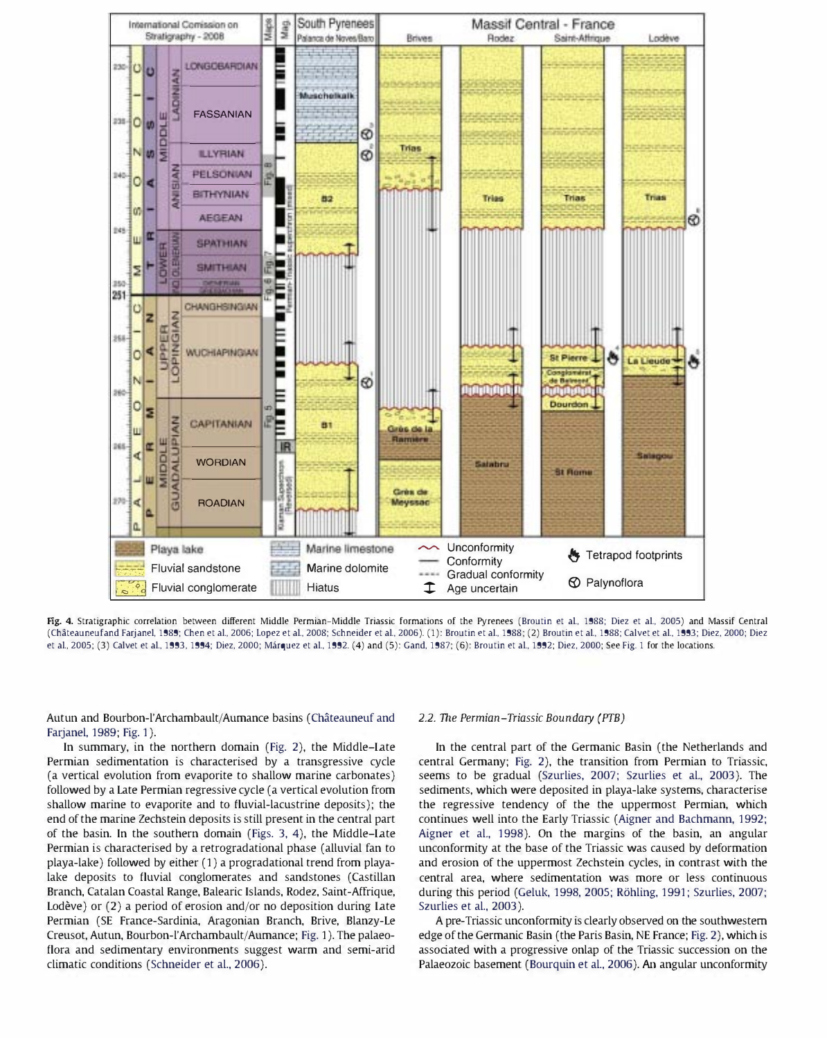

Fig. 4. Stratigraphic correlation between different Middle Permian-Middle Triassic formations of the Pyrenees (Broutin et al., 1988; Diez et al., 2005) and Massif Central (Chateauneufand Farjanel. 1989: Chen et al.. 2006: Lopez et al.. 2008: Schneider et al.. 2006). (1): Broutin et al.. 1988: (2) Broutin et al.. 1988: Calvet et al.. 1993: Diez. 2000: Diez et al., 2005; (3) Calvet et al., 1993, 1994; Diez, 2000; Márquez et al., 1992. (4) and (5): Gand, 1987; (6): Broutin et al., 1992; Diez, 2000; See Fig. 1 for the locations.

Autun and Bourbon-l'Archambault/Aumance basins (Châteauneuf and Farjanel, 1989; Fig. 1).

In summary, in the northern domain (Fig. 2), the Middle-Late Permian sedimentation is characterised by a transgressive cycle (a vertical evolution from evaporite to shallow marine carbonates) followed by a Late Permian regressive cycle (a vertical evolution from shallow marine to evaporite and to fluvial-lacustrine deposits); the end of the marine Zechstein deposits is still present in the central part of the basin. In the southern domain (Figs. 3, 4), the Middle-Late Permian is characterised by a retrogradational phase (alluvial fan to playa-lake) followed by either (1) a progradational trend from playalake deposits to fluvial conglomerates and sandstones (Castillan Branch, Catalan Coastal Range, Balearic Islands, Rodez, Saint-Affrique, Lodève) or (2) a period of erosion and/or no deposition during Late Permian (SE France-Sardinia, Aragonian Branch, Brive, Blanzy-Le Creusot,Autun, Bourbon-l'Archambault/Aumance; Fig. 1). The palaeoflora and sedimentary environments suggest warm and semi-arid climatic conditions (Schneider et al., 2006).

#### 2.2. The Permian-Triassic Boundary (PTB)

In the central part of the Germanic Basin (the Netherlands and central Germany; Fig. 2), the transition from Permian to Triassic, seems to be gradual (Szurlies, 2007; Szurlies et al., 2003). The sediments, which were deposited in playa-lake systems, characterise the regressive tendency of the the uppermost Permian, which continues well into the Early Triassic (Aigner and Bachmann, 1992; Aigner et al., 1998). On the margins of the basin, an angular unconformity at the base of the Triassic was caused by deformation and erosion of the uppermost Zechstein cycles, in contrast with the central area, where sedimentation was more or less continuous during this period (Geluk, 1998, 2005; R6hling, 1991; Szurlies, 2007; Szurlies et al., 2003).

A pre-Triassic unconformity is clearly observed on the southwestern edge of the Germanic Basin (the Paris Basin, NE France; Fig. 2), which is assodated with a progressive onlap of the Triassic succession on the Palaeozoic basement (Bourquin et aL, 2006). An angular unconformity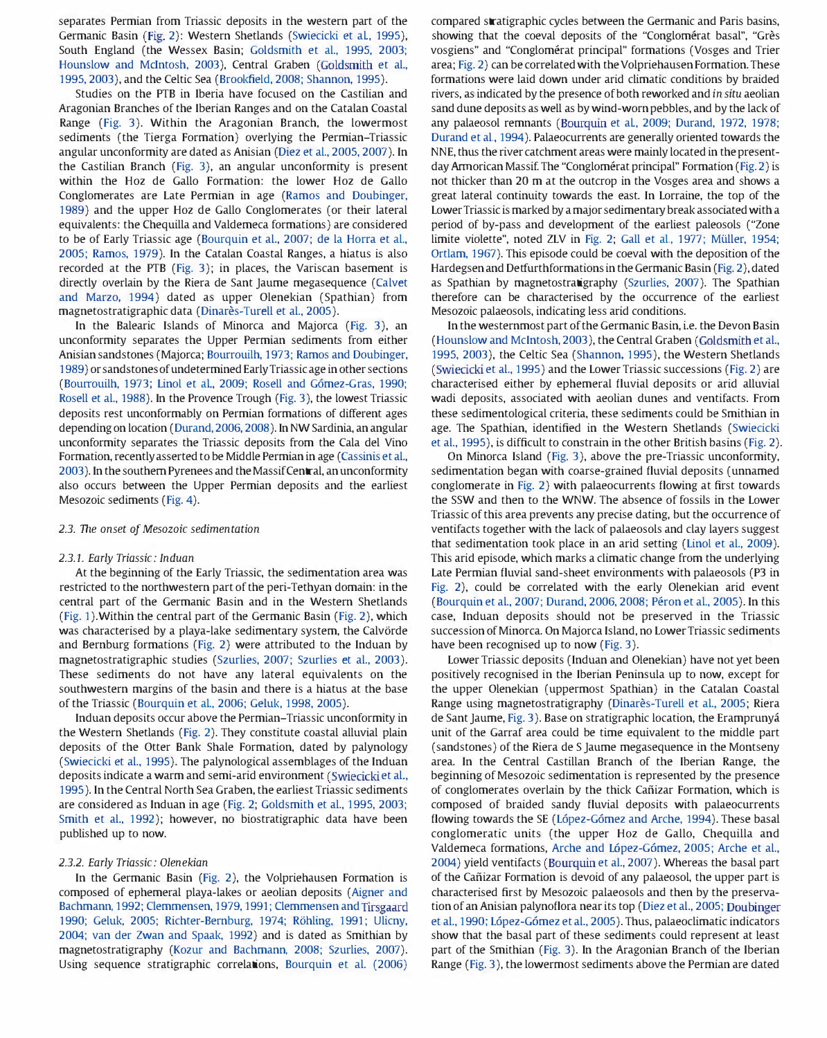separates Permian from Triassic deposits in the western part of the Germanic Basin (Fig. 2): Western Shetlands (Swiecicki et al, 1995), South England (the Wessex Basin; Goldsmith et al., 1995, 2003; Hounslow and Mdntosh, 2003), Central Graben (Goldsmith et al., 1995, 2003), and the Celtic Sea (Brookfield, 2008; Shannon, 1995).

Studies on the PTB in Iberia have focused on the Castilian and Aragonian Branches of the Iberian Ranges and on the Catalan Coastal Range (Fig. 3). Within the Aragonian Branch, the lowermost sediments (the Tierga Formation) overlying the Permian-Triassic angular unconformity are dated as Anisian (Diez et al., 2005, 2007). In the Castilian Branch (Fig. 3), an angular unconformity is present within the Hoz de Gallo Formation: the lower Hoz de Gallo Conglomerates are Late Permian in age (Ramos and Doubinger, 1989) and the upper Hoz de Gallo Conglomerates (or their lateral equivalents: the Chequilla and Valdemeca formations) are considered to be of Early Triassic age (Bourquin et al., 2007; de la Horra et al., 2005; Ramos, 1979). In the Catalan Coastal Ranges, a hiatus is also recorded at the FIB (Fig. 3); in places, the Variscan basement is directly overlain by the Riera de Sant Jaume megasequence (Calvet and Marzo, 1994) dated as upper Olenekian (Spathian) from magnetostratigraphic data (Dinarès-Turell et al., 2005).

In the Balearic Islands of Minorca and Majorca (Fig. 3), an unconformity separates the Upper Permian sediments from either Anisian sandstones (Majorca; Bourrouilh, 1973; Ramos and Doubinger, 1989) or sandstones of undetermined Early Triassic age in other sections (Bourrouilh, 1973; Linol et al., 2009; Rosell and Gómez-Gras, 1990; Rosell et al., 1988). In the Provence Trough (Fig. 3), the lowest Triassic deposits rest unconformably on Permian formations of different ages depending on location (Durand, 2006, 2008). In NW Sardinia, an angular unconformity separates the Triassic deposits from the Cala del Vino Formation, recently asserted to be Middle Permian in age (Cassinis et al., 2003). In the southern Pyrenees and the Massif Central, an unconformity also occurs between the Upper Permian deposits and the earliest Mesozoic sediments (Fig. 4).

# 2.3. The onset of Mesozoic sedimentation

#### 2.3.1. Early Triassic: Induan

At the beginning of the Early Triassic, the sedimentation area was restricted to the northwestern part of the peri-Tethyan domain: in the central part of the Germanic Basin and in the Western Shetlands (Fig. 1). Within the central part of the Germanic Basin (Fig. 2), which was characterised by a playa-lake sedimentary system, the Calvörde and Bernburg formations (Fig. 2) were attributed to the Induan by magnetostratigraphic studies (Szurlies, 2007; Szurlies et al., 2003). These sediments do not have any lateral equivalents on the southwestern margins of the basin and there is a hiatus at the base of the Triassic (Bourquin et aI., 2006; Geluk, 1998, 2005).

Induan deposits occur above the Permian-Triassic unconformity in the Western Shetlands (Fig. 2). They constitute coastal alluvial plain deposits of the Otter Bank Shale Formation, dated by palynology (Swiecicki et al., 1995). The palynological assemblages of the Induan deposits indicate a warm and semi-arid environment (Swiecicki et al., 1995). In the Central North Sea Graben, the earliest Triassic sediments are considered as Induan in age (Fig. 2; Goldsmith et al., 1995, 2003; Smith et al., 1992); however, no biostratigraphic data have been published up to now.

## 2.3.2. Early Triassic: Olenekian

In the Germanic Basin (Fig. 2), the Volpriehausen Formation is composed of ephemeral playa-lakes or aeolian deposits (Aigner and Bachmann, 1992; Clemmensen, 1979, 1991; Oemmensen and Tirsgaard 1990; Geluk, 2005; Richter-Bernburg, 1974; Rohling, 1991; Ulicny, 2004; van der Zwan and Spaak, 1992) and is dated as Smithian by magnetostratigraphy (Kozur and Bachmann, 2008; Szurlies, 2007). Using sequence stratigraphic correlations, Bourquin et al. (2006) compared stratigraphic cycles between the Germanic and Paris basins, showing that the coeval deposits of the "Conglomérat basal", "Grès vosgiens" and "Congiomerat principal" formations (Vosges and Trier area; Fig. 2) can be correlated with the Volpriehausen Formation. These formations were laid down under arid climatic conditions by braided rivers, as indicated by the presence of both reworked and in situ aeolian sand dune deposits as well as by wind-worn pebbles, and by the lack of any palaeosol remnants (Bourquin et al, 2009; Durand, 1972, 1978; Durand et al., 1994). Palaeocurrents are generally oriented towards the NNE, thus the river catchment areas were mainly located in the presentday Armorican Massif. The "Conglomérat principal" Formation (Fig. 2) is not thicker than 20 m at the outcrop in the Vosges area and shows a great lateral continuity towards the east. In Lorraine, the top of the Lower Triassic is marked by a major sedimentary break associated with a period of by-pass and development of the earliest paleosols ("Zone limite violette", noted ZLV in Fig. 2; Gall et al., 1977; Müller, 1954; Ortlam, 1967). This episode could be coeval with the deposition of the Hardegsen and Detfurthformations in the Germanic Basin (Fig. 2), dated as Spathian by magnetostratigraphy (Szurlies, 2007). The Spathian therefore can be characterised by the occurrence of the earliest Mesozoic palaeosols, indicating less arid conditions.

In the westernmost part of the Germanic Basin, i.e. the Devon Basin (Hounslow and McIntosh, 2003), the Central Graben (Goldsmith et al., 1995,2003), the Celtic Sea (Shannon, 1995), the Western Shetlands (Swiecicki et al., 1995) and the Lower Triassic successions (Fig. 2) are characterised either by ephemeral fluvial deposits or arid alluvial wadi deposits, associated with aeolian dunes and ventifacts. From these sedimentological criteria, these sediments could be Smithian in age. The Spathian, identified in the Western Shetlands (Swiecicki et al., 1995), is difficult to constrain in the other British basins (Fig. 2).

On Minorca Island (Fig. 3), above the pre-Triassic unconformity, sedimentation began with coarse-grained fluvial deposits (unnamed conglomerate in Fig. 2) with palaeocurrents flowing at first towards the SSW and then to the WNW. The absence of fossils in the Lower Triassic of this area prevents any precise dating, but the occurrence of ventifacts together with the lack of palaeosols and clay layers suggest that sedimentation took place in an arid setting (Linol et al., 2009). This arid episode, which marks a climatic change from the underlying Late Permian fluvial sand-sheet environments with palaeosols (P3 in Fig. 2), could be correlated with the early Olenekian arid event (Bourquin et al., 2007; Durand, 2006, 2008; Péron et al., 2005). In this case, Induan deposits should not be preserved in the Triassic succession of Minorca. On Majorca Island, no Lower Triassic sediments have been recognised up to now (Fig. 3).

Lower Triassic deposits (Induan and Olenekian) have not yet been positively recognised in the Iberian Peninsula up to now, except for the upper Olenekian (uppermost Spathian) in the Catalan Coastal Range using magnetostratigraphy (Dinarès-Turell et al., 2005; Riera de Sant Jaume, Fig. 3). Base on stratigraphic location, the Eramprunyá unit of the Garraf area could be time equivalent to the middle part (sandstones) of the Riera de S jaume megasequence in the Montseny area. In the Central Castillan Branch of the Iberian Range, the beginning of Mesozoic sedimentation is represented by the presence of conglomerates overlain by the thick Cafiizar Formation, which is composed of braided sandy fluvial deposits with palaeocurrents flowing towards the SE (López-Gómez and Arche, 1994). These basal conglomeratic units (the upper Hoz de Gallo, Chequilla and Valdemeca formations, Arche and López-Gómez, 2005; Arche et al., 2004) yield ventifacts (Bourquin et al., 2007). Whereas the basal part of the Cafiizar Formation is devoid of any palaeosol, the upper part is characterised first by Mesozoic palaeosols and then by the preservation of an Anisian palynoflora near its top (Diez et al., 2005; Doubinger et al., 1990; L6pez-Gomez et al., 2005). Thus, palaeoclimatic indicators show that the basal part of these sediments could represent at least part of the Smithian (Fig. 3). In the Aragonian Branch of the Iberian Range (Fig. 3), the lowermost sediments above the Permian are dated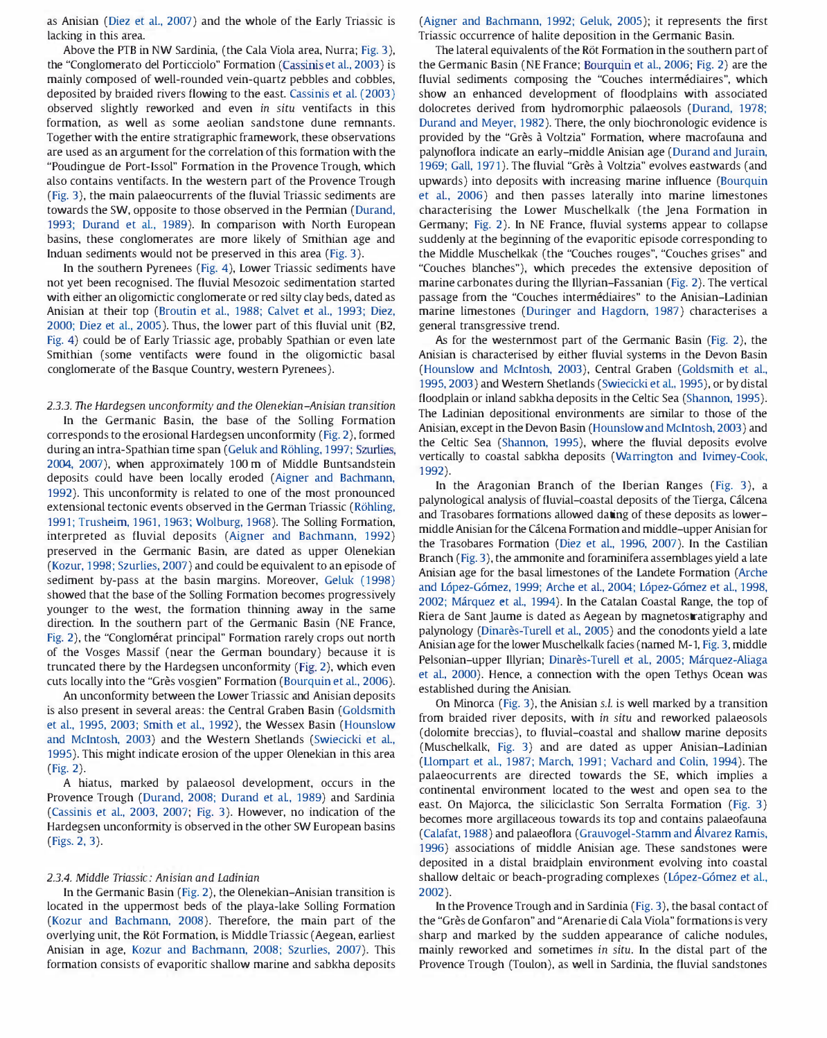as Anisian (Oiez et al., 2007) and the whole of the Early Triassic is lacking in this area.

Above the FIB in NW Sardinia, (the Cala Viola area, Nurra; Fig. 3), the "Conglomerato del Porticciolo" Formation (Cassinis et al., 2003) is mainly composed of well-rounded vein-quartz pebbles and cobbles, deposited by braided rivers flowing to the east. Cassinis et al. (2003) observed slightly reworked and even in situ ventifacts in this formation, as well as some aeolian sandstone dune remnants. Together with the entire stratigraphic framework, these observations are used as an argument for the correlation of this formation with the "Poudingue de Port-Issol" Formation in the Provence Trough, which also contains ventifacts. In the western part of the Provence Trough (Fig. 3), the main palaeocurrents of the fluvial Triassic sediments are towards the SW, opposite to those observed in the Perrnian (Durand, 1993; Durand et al., 1989). In comparison with North European basins, these conglomerates are more likely of Smithian age and Induan sediments would not be preserved in this area (Fig. 3).

In the southern Pyrenees (Fig. 4), Lower Triassic sediments have not yet been recognised. The fluvial Mesozoic sedimentation started with either an oligomictic conglomerate or red silty clay beds, dated as Anisian at their top (Broutin et al., 1988; Calvet et al., 1993; Diez, 2000; Diez et al., 2005). Thus, the lower part of this fluvial unit (B2, Fig. 4) could be of Early Triassic age, probably Spathian or even late Smithian (some ventifacts were found in the oligomictic basal conglomerate of the Basque Country, western Pyrenees).

2.3.3. The Hardegsen unconformity and the Olenekian-Anisian transition

In the Germanic Basin, the base of the Solling Formation corresponds to the erosional Hardegsen unconformity (Fig. 2), formed during an intra-Spathian time span (Geluk and Röhling, 1997; Szurlies, 2004, 2007), when approximately 100 m of Middle Buntsandstein deposits could have been locally eroded (Aigner and Bachmann, 1992). This unconformity is related to one of the most pronounced extensional tectonic events observed in the German Triassic (Röhling, 1991; Trusheim, 1961, 1963; Wolburg, 1968). The Solling Formation, interpreted as fluvial deposits (Aigner and Bachmann, 1992) preserved in the Germanic Basin, are dated as upper Olenekian (Kozur, 1998; Szurlies, 2007) and could be equivalent to an episode of sediment by-pass at the basin margins. Moreover, Geluk (1998) showed that the base of the Solling Formation becomes progressively younger to the west, the formation thinning away in the same direction. In the southern part of the Germanic Basin (NE France, Fig. 2), the "Conglomérat principal" Formation rarely crops out north of the Vosges Massif (near the German boundary) because it is truncated there by the Hardegsen unconformity (Fig. 2), which even cuts locally into the "Grès vosgien" Formation (Bourquin et al., 2006).

An unconformity between the Lower Triassic and Anisian deposits is also present in several areas: the Central Graben Basin (Goldsmith et al., 1995, 2003; Smith et al., 1992), the Wessex Basin (Hounslow and McIntosh, 2003) and the Western Shetlands (Swiecicki et al., 1995). This might indicate erosion of the upper Olenekian in this area (Fig. 2).

A hiatus, marked by palaeosol development, occurs in the Provence Trough (Durand, 2008; Durand et al, 1989) and Sardinia (Cassinis et al., 2003, 2007; Fig. 3). However, no indication of the Hardegsen unconformity is observed in the other SW European basins (Figs. 2, 3).

# 2.3.4. Middle Triassic: Anisian and Ladinian

In the Germanic Basin (Fig. 2), the Olenekian-Anisian transition is located in the uppermost beds of the playa-lake Solling Formation (Kozur and Bachmann, 2008). Therefore, the main part of the overlying unit, the Röt Formation, is Middle Triassic (Aegean, earliest Anisian in age, Kozur and Bachmann, 2008; Szurlies, 2007). This formation consists of evaporitic shallow marine and sabkha deposits (Aigner and Bachmann, 1992; Geluk, 2005); it represents the first Triassic occurrence of halite deposition in the Germanic Basin.

The lateral equivalents of the Röt Formation in the southern part of the Germanic Basin (NE France; Bourquin et al., 2006; Fig. 2) are the fluvial sediments composing the "Couches intermédiaires", which show an enhanced development of floodplains with associated dolocretes derived from hydromorphic palaeosols (Durand, 1978; Durand and Meyer, 1982). There, the only biochronologic evidence is provided by the "Grès à Voltzia" Formation, where macrofauna and palynoflora indicate an early-middle Anisian age (Durand and jurain, 1969; Gall, 1971). The fluvial "Grès à Voltzia" evolves eastwards (and upwards) into deposits with increasing marine influence (Bourquin et al., 2006) and then passes laterally into marine limestones characterising the Lower Muschelkalk (the Jena Formation in Germany; Fig. 2). In NE France, fluvial systems appear to collapse suddenly at the beginning of the evaporitic episode corresponding to the Middle Muschelkak (the "Couches rouges", "Couches grises" and "Couches blanches"), which precedes the extensive deposition of marine carbonates during the Illyrian-Fassanian (Fig. 2). The vertical passage from the "Couches intermediaires" to the Anisian-Ladinian marine limestones (Duringer and Hagdorn, 1987) characterises a general transgressive trend.

As for the westernmost part of the Germanic Basin (Fig. 2), the Anisian is characterised by either fluvial systems in the Devon Basin (Hounslow and McIntosh, 2003), Central Graben (Goldsmith et al., 1995, 2003) and Western Shetlands (Swiecicki et al., 1995), or by distal floodplain or inland sabkha deposits in the Celtic Sea (Shannon, 1995). The Ladinian depositional environments are similar to those of the Anisian, except in the Devon Basin (Hounslow and McIntosh, 2003) and the Celtic Sea (Shannon, 1995), where the fluvial deposits evolve vertically to coastal sabkha deposits (Warrington and Ivimey-Cook, 1992).

In the Aragonian Branch of the Iberian Ranges (Fig. 3), a palynological analysis of fluvial-coastal deposits of the Tierga, Gilcena and Trasobares formations allowed dating of these deposits as lowermiddle Anisian for the Gilcena Formation and middle-upper Anisian for the Trasobares Formation (Diez et al., 1996, 2007). In the Castilian Branch (Fig. 3), the ammonite and foraminifera assemblages yield a late Anisian age for the basal limestones of the Landete Formation (Arche and L6pez-G6mez, 1999; Arche et al., 2004; L6pez-G6mez et al., 1998, 2002; Marquez et al., 1994). In the Catalan Coastal Range, the top of Riera de Sant Jaume is dated as Aegean by magnetostratigraphy and palynology (Dinarès-Turell et al., 2005) and the conodonts yield a late Anisian age for the lower Muschelkalk facies (named M-1, Fig. 3, middle Pelsonian-upper Illyrian; Dinarès-Turell et al., 2005; Márquez-Aliaga et al., 2000). Hence, a connection with the open Tethys Ocean was established during the Anisian.

On Minorca (Fig. 3), the Anisian s.l. is well marked by a transition from braided river deposits, with in situ and reworked palaeosols (dolomite breccias), to fluvial-coastal and shallow marine deposits (Muschelkalk, Fig. 3) and are dated as upper Anisian-Ladinian (Llompart et al., 1987; March, 1991; Vachard and Colin, 1994). The palaeocurrents are directed towards the SE, which implies a continental environment located to the west and open sea to the east. On Majorca, the siliciclastic Son Serralta Formation (Fig. 3) becomes more argillaceous towards its top and contains palaeofauna (Calafat, 1988) and palaeoflora (Grauvogel-Stamm and Alvarez Ramis, 1996) associations of middle Anisian age. These sandstones were deposited in a distal braidplain environment evolving into coastal shallow deltaic or beach-prograding complexes (López-Gómez et al., 2002).

In the Provence Trough and in Sardinia (Fig. 3), the basal contact of the "Grès de Gonfaron" and "Arenarie di Cala Viola" formations is very sharp and marked by the sudden appearance of caliche nodules, mainly reworked and sometimes in situ. In the distal part of the Provence Trough (Toulon), as well in Sardinia, the fluvial sandstones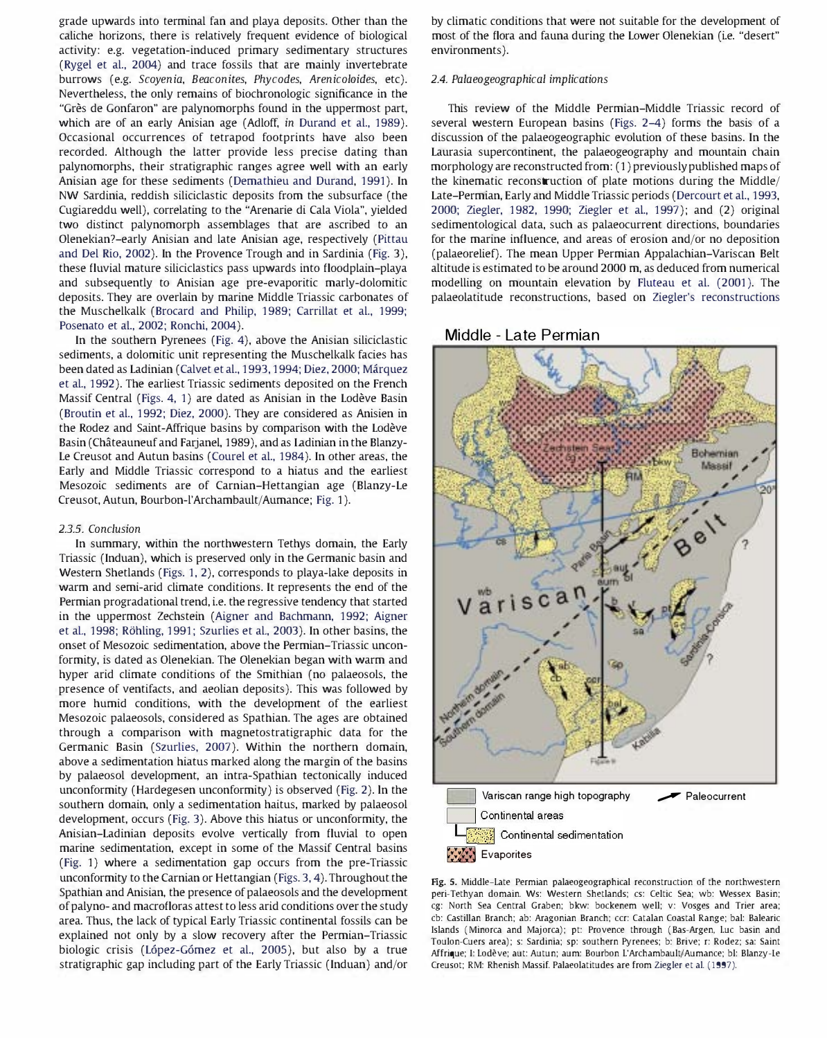grade upwards into terminal fan and playa deposits. Other than the caliche horizons, there is relatively frequent evidence of biological activity: e.g. vegetation-induced primary sedimentary structures (Rygel et al., 2004) and trace fossils that are mainly invertebrate burrows (e.g. Scoyenia, Beaconites, Phycodes, Arenicoloides, etc). Nevertheless, the only remains of biochronologic significance in the "Grès de Gonfaron" are palynomorphs found in the uppermost part, which are of an early Anisian age (Adloff, in Durand et al., 1989). Occasional occurrences of tetrapod footprints have also been recorded. Although the latter provide less precise dating than palynomorphs, their stratigraphic ranges agree well with an early Anisian age for these sediments (Demathieu and Durand, 1991). In NW Sardinia, reddish siliciclastic deposits from the subsurface (the Cugiareddu well), correlating to the "Arenarie di Cala Viola", yielded two distinct palynomorph assemblages that are ascribed to an Olenekian?-early Anisian and late Anisian age, respectively (Pittau and Del Rio, 2002). In the Provence Trough and in Sardinia (Fig. 3), these fluvial mature siliciclastics pass upwards into floodplain-playa and subsequently to Anisian age pre-evaporitic marly-dolomitic deposits. They are overlain by marine Middle Triassic carbonates of the Muschelkalk (Brocard and Philip, 1989; Carrillat et al., 1999; Posenato et al., 2002; Ronchi, 2004).

In the southern Pyrenees (Fig. 4), above the Anisian siliciclastic sediments, a dolomitic unit representing the Muschelkalk facies has been dated as Ladinian (Calvet et al., 1993, 1994; Diez, 2000; Márquez et al., 1992). The earliest Triassic sediments deposited on the French Massif Central (Figs. 4, 1) are dated as Anisian in the Lodeve Basin (Broutin et al., 1992; Diez, 2000). They are considered as Anisien in the Rodez and Saint-Affrique basins by comparison with the Lodeve Basin (Chateauneuf and Farjanel, 1989), and as Ladinian in the Blanzy-Le Creusot and Autun basins (Courel et al., 1984). In other areas, the Early and Middle Triassic correspond to a hiatus and the earliest Mesozoic sediments are of Carnian-Hettangian age (Blanzy-Le Creusot, Autun, Bourbon-l'Archambault/Aumance; Fig. 1).

# 2.3.5. Conclusion

In summary, within the northwestern Tethys domain, the Early Triassic (Induan), which is preserved only in the Germanic basin and Western Shetlands (Figs. 1, 2), corresponds to playa-lake deposits in warm and semi-arid climate conditions. It represents the end of the Permian progradational trend, i.e. the regressive tendency that started in the uppermost Zechstein (Aigner and Bachmann, 1992; Aigner et al., 1998; R6hling, 1991; Szurlies et al., 2003). In other basins, the onset of Mesozoic sedimentation, above the Permian-Triassic unconformity, is dated as Olenekian. The Olenekian began with warm and hyper arid climate conditions of the Smithian (no palaeosols, the presence of ventifacts, and aeolian deposits). This was followed by more humid conditions, with the development of the earliest Mesozoic palaeosols, considered as Spathian. The ages are obtained through a comparison with magnetostratigraphic data for the Germanic Basin (Szurlies, 2007). Within the northern domain, above a sedimentation hiatus marked along the margin of the basins by palaeosol development, an intra-Spathian tectonically induced unconformity (Hardegesen unconformity) is observed (Fig. 2). ln the southern domain, only a sedimentation haitus, marked by palaeosol development, occurs (Fig. 3). Above this hiatus or unconformity, the Anisian-Ladinian deposits evolve vertically from fluvial to open marine sedimentation, except in some of the Massif Central basins (Fig. 1) where a sedimentation gap occurs from the pre-Triassic unconformity to the Carnian or Hettangian (Figs. 3, 4). Throughout the Spathian and Anisian, the presence of palaeosols and the development of palyno- and macrofloras attest to less arid conditions over the study area. Thus, the lack of typical Early Triassic continental fossils can be explained not only by a slow recovery after the Permian-Triassic biologic crisis (L6pez-G6mez et al., 2005), but also by a true stratigraphic gap including part of the Early Triassic (Induan) and/or

by climatic conditions that were not suitable for the development of most of the flora and fauna during the Lower Olenekian (i.e. "desert" environments ).

# 2.4. Palaeogeographical implications

This review of the Middle Permian-Middle Triassic record of several western European basins (Figs. 2-4) forms the basis of a discussion of the palaeogeographic evolution of these basins. In the Laurasia supercontinent, the palaeogeography and mountain chain morphology are reconstructed from: (1) previously published maps of the kinematic reconstruction of plate motions during the Middle/ Late-Permian, Early and Middle Triassic periods (Dercourt et al., 1993, 2000; Ziegler, 1982, 1990; Ziegler et aI., 1997); and (2) original sedimentological data, such as palaeocurrent directions, boundaries for the marine influence, and areas of erosion and/or no deposition (palaeorelief). The mean Upper Permian Appalachian-Variscan Belt altitude is estimated to be around 2000 m, as deduced from numerical modelling on mountain elevation by Fluteau et al. (2001). The palaeolatitude reconstructions, based on Ziegler's reconstructions

# Middle - Late Permian



Fig. 5. Middle-Late Permian palaeogeographical reconstruction of the northwestern peri-Tethyan domain. Ws: Western Shetlands; cs: Celtic Sea; wb: Wessex Basin; cg: North Sea Central Graben; bkw: bockenem well; v: Vosges and Trier area; cb: Castilian Branch; ab: Aragonian Branch; ccr: catalan Coastal Range; bal: Balearic Islands (Minorca and Majorca); pt: Provence through (Bas-Argen. Luc basin and Toulon-Cuers area); s: Sardinia; sp: southern Pyrenees; b: Brive; r: Rodez; sa: Saint Affrique; I: Lodeve; aut: Autun; aum: Bourbon L'ArchambaultjAumance; bl: Blanzy-Le Creusot; RM: Rhenish Massif. Palaeolatitudes are from Ziegler et al. (1997).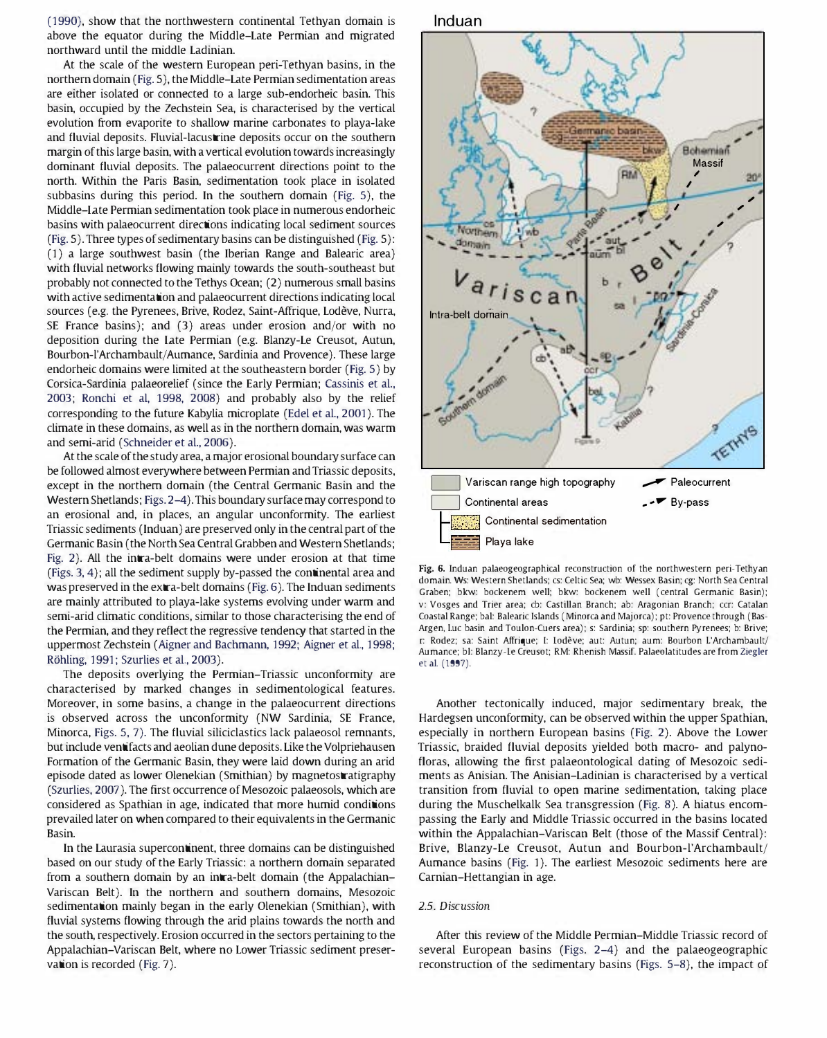(1990), show that the northwestern continental Tethyan domain is above the equator during the Middle-Late Permian and migrated northward until the middle Ladinian.

At the scale of the western European peri-Tethyan basins, in the northern domain (Fig. 5), the Middle-Late Permian sedimentation areas are either isolated or connected to a large sub-endorheic basin. This basin, occupied by the Zechstein Sea, is characterised by the vertical evolution from evaporite to shallow marine carbonates to playa-lake and fluvial deposits. Fluvial-lacustrine deposits occur on the southern margin of this large basin, with a vertical evolution towards increasingly dominant fluvial deposits. The palaeocurrent directions point to the north. Within the Paris Basin, sedimentation took place in isolated subbasins during this period. In the southern domain (Fig. 5), the Middle-Late Permian sedimentation took place in numerous endorheic basins with palaeocurrent directions indicating local sediment sources (Fig. 5). Three types of sedimentary basins can be distinguished (Fig. 5): (1) a large southwest basin (the Iberian Range and Balearic area) with fluvial networks flowing mainly towards the south-southeast but probably not connected to the Tethys Ocean; (2) numerous small basins with active sedimentation and palaeocurrent directions indicating local sources (e.g. the Pyrenees, Brive, Rodez, Saint-Affrique, Lodeve, Nurra, SE France basins); and (3) areas under erosion and/or with no deposition during the Late Permian (e.g. Blanzy-Le Creusot, Autun, Bourbon-l'Archambault/Aumance, Sardinia and Provence). These large endorheic domains were limited at the southeastern border (Fig. 5) by Corsica-Sardinia palaeorelief (since the Early Permian; Cassinis et al., 2003; Ronchi et al, 1998, 2008) and probably also by the relief corresponding to the future Kabylia microplate (Edel et al., 2001). The climate in these domains, as well as in the northern domain, was warm and semi-arid (Schneider et al., 2006).

At the scale of the study area, a major erosional boundary surface can be followed almost everywhere between Permian and Triassic deposits, except in the northern domain (the Central Germanic Basin and the Western Shetlands; Figs. 2-4). This boundary surface may correspond to an erosional and, in places, an angular unconformity. The earliest Triassic sediments (Induan) are preserved only in the central part of the Germanic Basin (the North Sea Central Grabben and Western Shetlands; Fig. 2). All the intra-belt domains were under erosion at that time (Figs. 3, 4); all the sediment supply by-passed the continental area and was preserved in the extra-belt domains (Fig. 6). The Induan sediments are mainly attributed to playa-lake systems evolving under warm and semi-arid climatic conditions, similar to those characterising the end of the Permian, and they reflect the regressive tendency that started in the uppermost Zechstein (Aigner and Bachmann, 1992; Aigner et al., 1998; R6hling, 1991; Szurlies et al., 2003).

The deposits overlying the Permian-Triassic unconformity are characterised by marked changes in sedimentological features. Moreover, in some basins, a change in the palaeocurrent directions is observed across the unconformity (NW Sardinia, SE France, Minorca, Figs. 5, 7). The fluvial siliciclastics lack palaeosol remnants, but include ventifacts and aeolian dune deposits. Like the Volpriehausen Formation of the Germanic Basin, they were laid down during an arid episode dated as lower Olenekian (Smithian) by magnetostratigraphy (Szurlies, 2007). The first occurrence of Mesozoic palaeosols, which are considered as Spathian in age, indicated that more humid conditions prevailed later on when compared to their equivalents in the Germanic Basin.

In the Laurasia supercontinent, three domains can be distinguished based on our study of the Early Triassic: a northern domain separated from a southern domain by an intra-belt domain (the Appalachian-Variscan Belt). In the northern and southern domains, Mesozoic sedimentation mainly began in the early Olenekian (Smithian), with fluvial systems flowing through the arid plains towards the north and the south, respectively. Erosion occurred in the sectors pertaining to the Appalachian-Variscan Belt, where no Lower Triassic sediment preservation is recorded (Fig. 7).





Fig. 6. Induan palaeogeographical reconstruction of the northwestern peri-Tethyan domain. Ws: Western Shetlands: cs: Celtic Sea: wb: Wessex Basin: cg: North Sea Central Graben; bkw: bockenem well; bkw: bockenem well (central Germanic Basin); v: Vosges and Trier area: cb: Castilian Branch: ab: Aragonian Branch: ccr: Catalan Coastal Range: bal: Balearic Islands (Minorca and Majorca): pt: Provence through (Bas-Argen, Luc basin and Toulon-Cuers area): s: Sardinia: sp: southern Pyrenees: b: Brive: r: Rodez: sa: Saint Affrique: I: Lodeve: aut: Autun: aum: Bourbon L'Archambault/ Aumance: bl: Blanzy-Le Creusot; RM: Rhenish Massif. Palaeolatitudes are from Ziegler et al. (1997).

Another tectonically induced, major sedimentary break, the Hardegsen unconformity, can be observed within the upper Spathian, especially in northern European basins (Fig. 2). Above the Lower Triassic, braided fluvial deposits yielded both macro- and palynofloras, allowing the first palaeontological dating of Mesozoic sediments as Anisian. The Anisian-Ladinian is characterised by a vertical transition from fluvial to open marine sedimentation, taking place during the Muschelkalk Sea transgression (Fig. 8). A hiatus encompassing the Early and Middle Triassic occurred in the basins located within the Appalachian-Variscan Belt (those of the Massif Central): Brive, Blanzy-Le Creusot, Autun and Bourbon-l'Archambault/ Aumance basins (Fig. 1). The earliest Mesozoic sediments here are Carnian-Hettangian in age.

# 2.5. Discussion

After this review of the Middle Permian-Middle Triassic record of several European basins (Figs. 2-4) and the palaeogeographic reconstruction of the sedimentary basins (Figs. 5-8), the impact of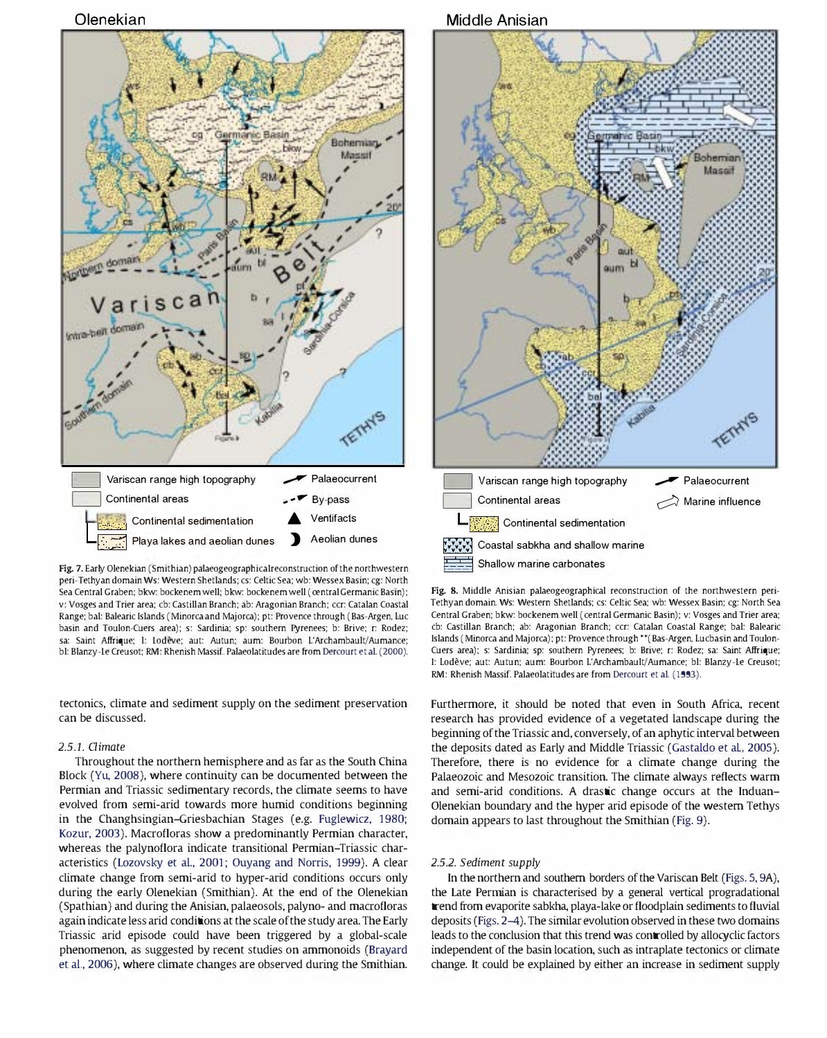



Fig. 7. Early Olenekian (Smithian) palaeogeographicalreconstruction of the northwestern peri-Tethyan domain Ws: Western Shetlands; cs: Celtic Sea; wb: Wessex Basin; cg: North Sea Central Graben; bkw: bockenem well; bkw: bockenem well (central Germanic Basin); v: Vosges and Trier area; cb: Castilian Branch; ab: Aragonian Branch; (cr: catalan Coastal Range: hal: Balearic Islands (Minorca and Majorca): pt: Provence through (Bas-Argen, Lue basin and Toulon-Cuers area): s: Sardinia; sp: southern Pyrenees: b: Brive; r: Rodez; sa: Saint Affrique; 1: Lodève; aut: Autun; aum: Bourbon L'Archambault/Aumance; bl: Blanzy-Le Creusot; RM: Rhenish Massif. Palaeolatitudes are from Dercourt et al. (2000).

tectonics, climate and sediment supply on the sediment preservation can be discussed.

## 2.5.1. Qimate

Throughout the northern hemisphere and as far as the South China Block (Yu, 2008), where continuity can be documented between the Permian and Triassic sedimentary records, the climate seems to have evolved from semi-arid towards more humid conditions beginning in the Changhsingian-Griesbachian Stages (e.g. Fuglewicz, 1980; Kozur, 2003). Macrofloras show a predominantly Permian character, whereas the palynoflora indicate transitional Permian-Triassic characteristics (Lozovsky et al., 2001; Ouyang and Norris, 1999). A clear climate change from semi-arid to hyper-arid conditions occurs only during the early Olenekian (Smithian). At the end of the Olenekian (Spathian) and during the Anisian, palaeosols, palyno- and macrofloras again indicate less arid conditions at the scale of the study area. The Early Triassic arid episode could have been triggered by a global-scale phenomenon, as suggested by recent studies on ammonoids (Brayard et al., 2006), where climate changes are observed during the Smithian.



Fig. 8. Middle Anisian palaeogeographical reconstruction of the northwestern peri-Tethyan domain. Ws: Western Shetlands: cs: Celtic Sea: wb: Wessex Basin: cg: North Sea Central Graben: bkw: bockenem well (central Germanic Basin): v: Vosges and Trier area: cb: castilian Branch: ab: Aragonian Branch: ccr: Catalan Coastal Range: bal: Balearic Islands (Minorca and Majorca): pt: Provence through \*\*(Bas-Argen, Lucbasin and Toulon-Cuers area): s: Sardinia: sp: southern Pyrenees: b: Brive: r: Rodez: sa: Saint Affrique: I: Lodève; aut: Autun; aum: Bourbon L'Archambault/Aumance; bl: Blanzy-Le Creusot; RM: Rhenish Massif. Palaeolatitudes are from Dercourt et al. (1993).

Furthermore, it should be noted that even in South Africa, recent research has provided evidence of a vegetated landscape during the beginning of the Triassic and, conversely, of an aphytic interval between the deposits dated as Early and Middle Triassic (Gastaldo et al, 2005). Therefore, there is no evidence for a climate change during the Palaeozoic and Mesozoic transition. The climate always reflects warm and semi-arid conditions. A drastic change occurs at the Induan-Olenekian boundary and the hyper arid episode of the western Tethys domain appears to last throughout the Smithian (Fig. 9).

## 2.5.2. Sediment supply

In the northern and southern borders of the Variscan Belt (Figs. 5, 9A), the Late Penman is characterised by a general vertical progradational trend from evaporite sabkha, playa-lake or floodplain sediments to fluvial deposits (Figs. 2-4). The similar evolution observed in these two domains leads to the conclusion that this trend was controlled by allocyclic factors independent of the basin location, such as intraplate tectonics or climate change. It could be explained by either an increase in sediment supply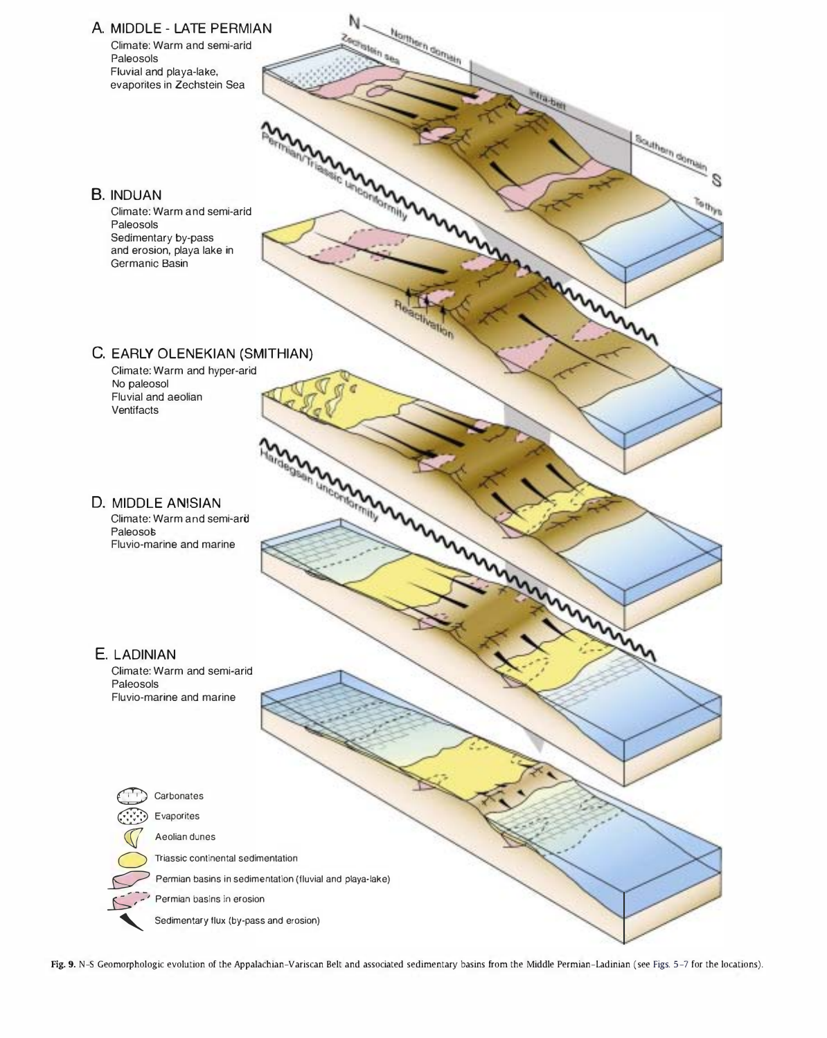

Fig. 9. N-S Geomorphologic evolution of the Appalachian-Variscan Belt and associated sedimentary basins from the Middle Permian-Ladinian (see Figs. 5-7 for the locations).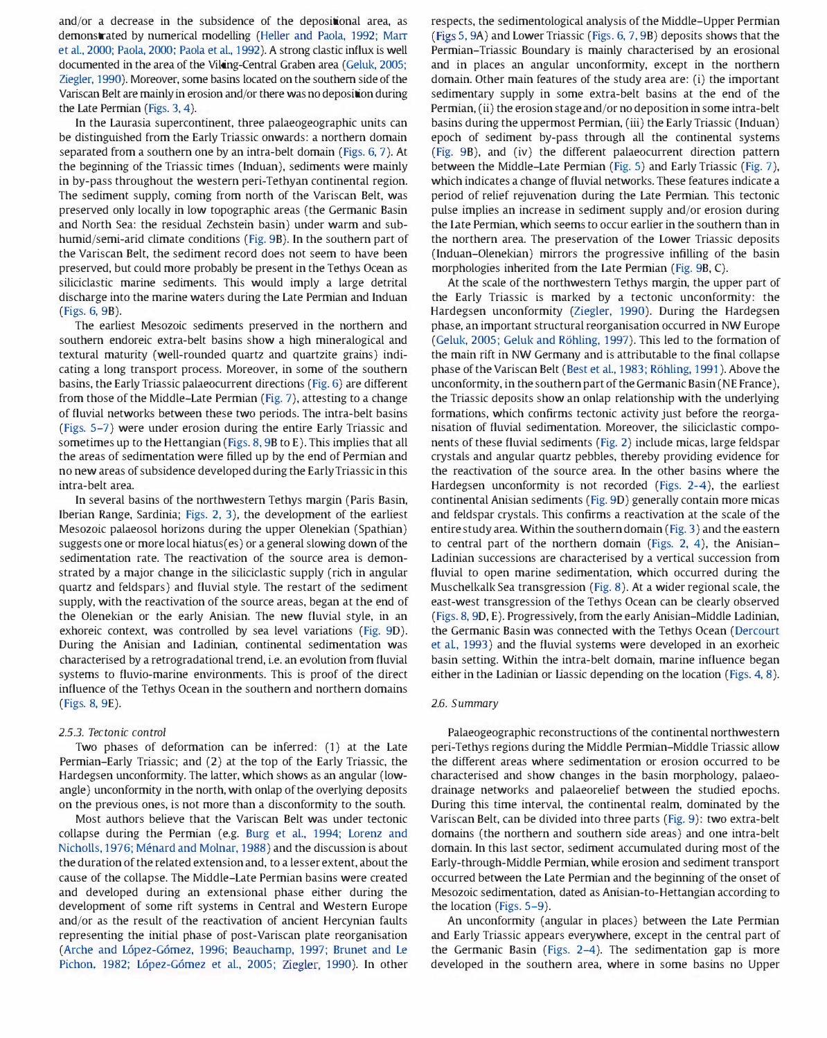and/or a decrease in the subsidence of the depositional area, as demonstrated by numerical modelling (Heller and Paola, 1992; Marr et al., 2000; Paola, 2000; Paola et al., 1992). A strong clastic influx is well documented in the area of the Viking-Central Graben area (Geluk, 2005; Ziegler, 1990). Moreover, some basins located on the southern side of the Variscan Belt are mainly in erosion and/or there was no deposition during the Late Permian (Figs. 3, 4).

In the Laurasia supercontinent, three palaeogeographic units can be distinguished from the Early Triassic onwards: a northern domain separated from a southern one by an intra-belt domain (Figs. 6, 7). At the beginning of the Triassic times (Induan), sediments were mainly in by-pass throughout the western peri-Tethyan continental region. The sediment supply, coming from north of the Variscan Belt, was preserved only locally in low topographic areas (the Germanic Basin and North Sea: the residual Zechstein basin) under warm and subhumid/semi-arid climate conditions (Fig. 9B). In the southern part of the Variscan Belt, the sediment record does not seem to have been preserved, but could more probably be present in the Tethys Ocean as siliciclastic marine sediments. This would imply a large detrital discharge into the marine waters during the Late Permian and Induan (Figs. 6, 9B).

The earliest Mesozoic sediments preserved in the northern and southern endoreic extra-belt basins show a high mineralogical and textural maturity (well-rounded quartz and quartzite grains) indicating a long transport process. Moreover, in some of the southern basins, the Early Triassic palaeocurrent directions (Fig. 6) are different from those of the Middle-Late Permian (Fig. 7), attesting to a change of fluvial networks between these two periods. The intra-belt basins (Figs. 5-7) were under erosion during the entire Early Triassic and sometimes up to the Hettangian (Figs. 8, 9B to E). This implies that all the areas of sedimentation were filled up by the end of Permian and no new areas of subsidence developed during the Early Triassic in this intra-belt area.

In several basins of the northwestern Tethys margin (Paris Basin, Iberian Range, Sardinia; Figs. 2, 3), the development of the earliest Mesozoic palaeosol horizons during the upper Olenekian (Spathian) suggests one or more local hiatus(es) or a general slowing down of the sedimentation rate. The reactivation of the source area is demonstrated by a major change in the siliciclastic supply (rich in angular quartz and feldspars) and fluvial style. The restart of the sediment supply, with the reactivation of the source areas, began at the end of the Olenekian or the early Anisian. The new fluvial style, in an exhoreic context, was controlled by sea level variations (Fig. 90). During the Anisian and Ladinian, continental sedimentation was characterised by a retrogradational trend, i.e. an evolution from fluvial systems to fluvio-marine environments. This is proof of the direct influence of the Tethys Ocean in the southern and northern domains (Figs. 8, 9E).

## 2.5.3. Tectonic control

Two phases of deformation can be inferred: (1) at the Late Permian-Early Triassic; and (2) at the top of the Early Triassic, the Hardegsen unconformity. The latter, which shows as an angular (lowangle) unconformity in the north, with onlap of the overlying deposits on the previous ones, is not more than a disconformity to the south.

Most authors believe that the Variscan Belt was under tectonic collapse during the Permian (e.g. Burg et al., 1994; Lorenz and Nicholls, 1976; Ménard and Molnar, 1988) and the discussion is about the duration of the related extension and, to a lesser extent, about the cause of the collapse. The Middle-Late Permian basins were created and developed during an extensional phase either during the development of some rift systems in Central and Western Europe and/or as the result of the reactivation of ancient Hercynian faults representing the initial phase of post-Variscan plate reorganisation (Arche and L6pez-G6mez, 1996; Beauchamp, 1997; Bruner and Le Pichon. 1982; L6pez-G6mez et al., 2005; Ziegler, 1990). In other respects, the sedimentological analysis of the Middle-Upper Permian (Figs 5, 9A) and Lower Triassic (Figs. 6, 7, 9B) deposits shows that the Permian-Triassic Boundary is mainly characterised by an erosional and in places an angular unconformity, except in the northern domain. Other main features of the study area are: (i) the important sedimentary supply in some extra-belt basins at the end of the Permian, (ii) the erosion stage and/or no deposition in some intra-belt basins during the uppermost Permian, (iii) the Early Triassic (Induan) epoch of sediment by-pass through all the continental systems (Fig. 9B), and (iv) the different palaeocurrent direction pattern between the Middle-Late Permian (Fig. 5) and Early Triassic (Fig. 7), which indicates a change of fluvial networks. These features indicate a period of relief rejuvenation during the Late Permian. This tectonic pulse implies an increase in sediment supply and/or erosion during the Late Permian, which seems to occur earlier in the southern than in the northern area. The preservation of the Lower Triassic deposits (Induan-Olenekian) mirrors the progressive infilling of the basin morphologies inherited from the Late Permian (Fig. 9B, C).

At the scale of the northwestern Tethys margin, the upper part of the Early Triassic is marked by a tectonic unconformity: the Hardegsen unconformity (Ziegler, 1990). During the Hardegsen phase, an important structural reorganisation occurred in NW Europe (Geluk, 2005; Geluk and Röhling, 1997). This led to the formation of the main rift in NW Germany and is attributable to the final collapse phase of the Variscan Belt (Best et al., 1983; Röhling, 1991). Above the unconformity, in the southern part of the Germanic Basin (NE France), the Triassic deposits show an onlap relationship with the underlying formations, which confirms tectonic activity just before the reorganisation of fluvial sedimentation. Moreover, the siliciclastic components of these fluvial sediments (Fig. 2) include micas, large feldspar crystals and angular quartz pebbles, thereby providing evidence for the reactivation of the source area. In the other basins where the Hardegsen unconformity is not recorded (Figs. 2-4), the earliest continental Anisian sediments (Fig. 90) generally contain more micas and feldspar crystals. This confirms a reactivation at the scale of the entire study area. Within the southern domain (Fig. 3) and the eastern to central part of the northern domain (Figs. 2, 4), the Anisian-Ladinian successions are characterised by a vertical succession from fluvial to open marine sedimentation, which occurred during the Muschelkalk Sea transgression (Fig. 8). At a wider regional scale, the east-west transgression of the Tethys Ocean can be clearly observed (Figs. 8, 90, E). Progressively, from the early Anisian-Middle Ladinian, the Germanic Basin was connected with the Tethys Ocean (Dercourt et al, 1993) and the fluvial systems were developed in an exorheic basin setting. Within the intra-belt domain, marine influence began either in the Ladinian or liassic depending on the location (Figs. 4, 8).

#### 2.6. Summary

Palaeogeographic reconstructions of the continental northwestern peri-Tethys regions during the Middle Permian-Middle Triassic allow the different areas where sedimentation or erosion occurred to be characterised and show changes in the basin morphology, palaeodrainage networks and palaeorelief between the studied epochs. During this time interval, the continental realm, dominated by the Variscan Belt, can be divided into three parts (Fig. 9): two extra-belt domains (the northern and southern side areas) and one intra-belt domain. In this last sector, sediment accumulated during most of the Early-through-Middle Permian, while erosion and sediment transport occurred between the Late Permian and the beginning of the onset of Mesozoic sedimentation, dated as Anisian-to-Hettangian according to the location (Figs. 5-9).

An unconformity (angular in places) between the Late Permian and Early Triassic appears everywhere, except in the central part of the Germanic Basin (Figs. 2-4). The sedimentation gap is more developed in the southern area, where in some basins no Upper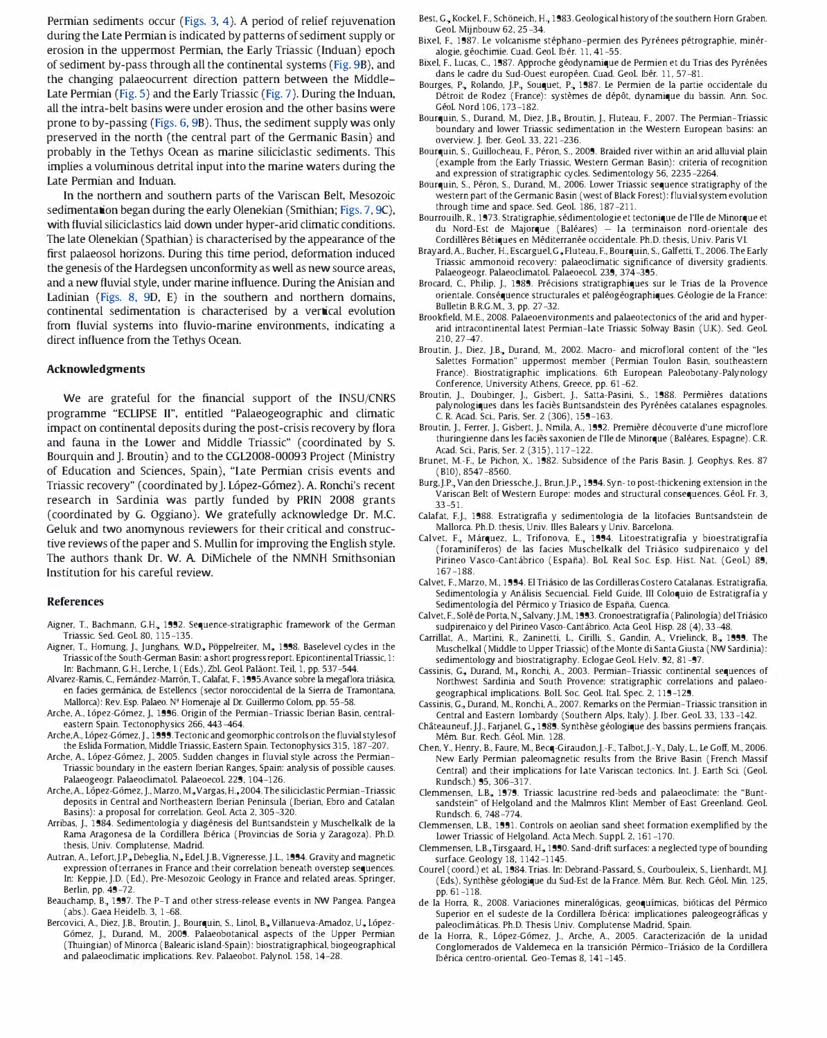Permian sediments occur (Figs. 3, 4). A period of relief rejuvenation during the Late Permian is indicated by patterns of sediment supply or erosion in the uppermost Permian, the Early Triassic (Induan) epoch of sediment by-pass through all the continental systems (Fig. 9B), and the changing palaeocurrent direction pattern between the Middle-Late Permian (Fig. 5) and the Early Triassic (Fig. 7). During the Induan, all the intra-belt basins were under erosion and the other basins were prone to by-passing (Figs. 6, 9B). Thus, the sediment supply was only preserved in the north (the central part of the Germanic Basin) and probably in the Tethys Ocean as marine siliciclastic sediments. This implies a voluminous detrital input into the marine waters during the Late Permian and Induan.

In the northern and southern parts of the Variscan Belt, Mesozoic sedimentation began during the early Olenekian (Smithian; Figs. 7, 9C), with fluvial siliciclastics laid down under hyper-arid climatic conditions. The late Olenekian (Spathian) is characterised by the appearance of the first palaeosol horizons. During this time period, deformation induced the genesis of the Hardegsen unconformity as well as new source areas, and a new fluvial style, under marine influence. During the Anisian and Ladinian (Figs. 8, 90, E) in the southern and northern domains, continental sedimentation is characterised by a vertical evolution from fluvial systems into fluvio-marine environments, indicating a direct influence from the Tethys Ocean.

# Acknowledgments

We are grateful for the financial support of the INSU/CNRS programme "ECLIPSE 11", entitled "Palaeogeographic and climatic impact on continental deposits during the post-crisis recovery by flora and fauna in the Lower and Middle Triassic" (coordinated by S. Bourquin and J. Broutin) and to the CGL2008-00093 Project (Ministry of Education and Sciences, Spain), "Late Permian crisis events and Triassic recovery" (coordinated by J. López-Gómez). A. Ronchi's recent research in Sardinia was partly funded by PRIN 2008 grants (coordinated by G. Oggiano). We gratefully acknowledge Or. M.C. Geluk and two anomynous reviewers for their critical and constructive reviews of the paper and S. Mullin for improving the English style. The authors thank Or. W. A DiMichele of the NMNH Smithsonian Institution for his careful review.

# References

- Aigner, T., Bachmann, G.H., 1992. Sequence-stratigraphic framework of the German Triassic. Sed, GeoL 80, 115-135,
- Aigner, T., Homung, J., Junghans, W.D., Pöppelreiter, M., 1998. Baselevel cycles in the Triassic of the South-German Basin: a short progress report Epicontinental Triassic, 1: In: Bachmann, G,H., Lerche, I. (Eds,), ZbL Geol Palaont Teil, 1, pp, 537-544,
- Alvarez-Ramis, C, Femandez-Marr6n, T, Calafat, E, 1995,Avance sobre la megaflora triasica, en facies germánica, de Estellencs (sector noroccidental de la Sierra de Tramontana, Mallorca): Rev, Esp, Palaeo, N' Homenaje al Dr. Guillermo Coiom, pp, 55-58,
- Arche, A, L6pez-G6mez, J., 1996, Origin of the Permian-Triassic Iberian Basin, centraleastern Spain, Tectonophysics 266, 443-464,
- Arche, A., López-Gómez, J., 1999. Tectonic and geomorphic controls on the fluvial styles of the Eslida Formation, Middle Triassic, Eastern Spain, Tectonophysics 315, 187-207,
- Arche, A, L6pez-G6mez, J., 2005, Sudden changes in fluvial style across the Permian-Triassic boundary in the eastern Iberian Ranges, Spain: analysis of possible causes, Palaeogeogr. PalaeoclimatoL PalaeoecoL 229, 104-126,
- Arche, A., López-Gómez, J., Marzo, M., Vargas, H., 2004. The siliciclastic Permian-Triassic deposits in Central and Northeastern Iberian Peninsula (Iberian, Ebro and Catalan Basins): a proposal for correlation, GeoL Acta 2, 305-320,
- Arribas, J., 1984, Sedimentologia y diagenesis del Buntsandstein y Muschelkalk de la Rama Aragonesa de la Cordillera Ibérica (Provincias de Soria y Zaragoza). Ph.D. thesis, Univ, Complutense, Madrid,
- Autran, A., Lefort, J.P., Debeglia, N., Edel, J.B., Vigneresse, J.L., 1994. Gravity and magnetic expression ofterranes in France and their correlation beneath overstep sequences, In: Keppie, J,D, (Ed,), Pre-Mesozoic Geology in France and related areas, Springer, Berlin, pp, 49-72,
- Beauchamp, B., 1997. The P-T and other stress-release events in NW Pangea. Pangea (abs,), Gaea Heidelb, 3, 1-68.
- Bercovici, A., Diez, J.B., Broutin, J., Bourquin, S., Linol, B., Villanueva-Amadoz, U., López-G6mez, J., Durand, M, 2009, Palaeobotanical aspects of the Upper Permian (Thuingian) of Minorca (Balearic island-Spain): biostratigraphicaL biogeographical and palaeoclimatic implications. Rev. Palaeobot. Palynol. 158, 14-28.
- Best, G., Kockel, F., Schöneich, H., 1983. Geological history of the southern Horn Graben. GeoL Mijnbouw 62, 25-34,
- Bixel, F., 1987. Le volcanisme stéphano-permien des Pyrénees pétrographie, minéralogie, géochimie. Cuad. Geol. Ibér. 11, 41-55.
- Bixel, F., Lucas, C., 1987. Approche géodynamique de Permien et du Trias des Pyrénées dans le cadre du Sud-Ouest européen, Cuad, Geol. Ibér. 11, 57-81.
- Bourges, P., Rolando, J.P., Souquet, P., 1987. Le Permien de la partie occidentale du Détroit de Rodez (France): systèmes de dépôt, dynamique du bassin. Ann. Soc. GeoL Nord 106, 173-182,
- Bourquin, S., Durand, M., Diez, J.B., Broutin, J., Fluteau, F., 2007. The Permian-Triassic boundary and lower Triassic sedimentation in the Western European basins: an overview, J, Iber. GeoL 33, 221-236,
- Bourquin, S., Guillocheau, F., Péron, S., 2009. Braided river within an arid alluvial plain (example from the Early Triassic, Western German Basin): criteria of recognition and expression of stratigraphic cycles, Sedimentology 56, 2235-2264,
- Bourquin, S., Péron, S., Durand, M., 2006. Lower Triassic sequence stratigraphy of the western part of the Germanic Basin (west of Black Forest): fluvial system evolution through time and space, Sed, GeoL 186, 187-211,
- Bourrouilh, R., 1973, Stratigraphie, sedimentologie et tectonique de 1'I1e de Minorque et du Nord-Est de Majorque (Baleares) la terminaison nord-orientale des Cordillères Bétiques en Méditerranée occidentale. Ph.D. thesis, Univ. Paris VI.
- Brayard, A., Bucher, H., Escarguel, G., Fluteau, F., Bourquin, S., Galfetti, T., 2006. The Early Triassic ammonoid recovery: palaeociimatic significance of diversity gradients, Palaeogeogr. PalaeociimatoL PalaeoecoL 239, 374-395,
- Brocard, C., Philip, J., 1989. Précisions stratigraphiques sur le Trias de la Provence orientale, Consequence structurales et paleogeographiques, Geologie de la France: Bulletin B.R.G,M, 3, pp, 27-32,
- Brookfield, ME, 2008. Palaeoenvironments and palaeotectonics of the arid and hyperarid intracontinental latest Permian-late Triassic Solway Basin (U.K.), Sed, GeoL 210, 27-47,
- Broutin, J., Diez, J.B., Durand, M., 2002. Macro- and microfloral content of the "les Salettes Formation" uppermost member (Permian Toulon Basin, southeastern France), Biostratigraphic implications, 6th European Paleobotany-Palynology Conference, University Athens, Greece, pp, 61-62,
- Broutin, J., Doubinger, J., Gisbert, J., Satta-Pasini, S., 1988. Permières datations palynologiques dans les faciès Buntsandstein des Pyrénées catalanes espagnoles. C. R. Acad. Sci., Paris, Ser. 2 (306), 159-163.
- Broutin, J., Ferrer, J., Gisbert, J., Nmila, A, 1992, Premiere decouverte d'une microflore thuringienne dans les faciès saxonien de l'Ile de Minorque (Baléares, Espagne). C.R. Acad, Sci., Paris, Ser. 2 (315), 117-122,
- Brunet, M.-F., Le Pichon, X., 1982. Subsidence of the Paris Basin. J. Geophys. Res. 87 (BlO), 8547-8560,
- Burg, J.P., Van den Driessche, J., Brun, J.P., 1994. Syn- to post-thickening extension in the Variscan Belt of Western Europe: modes and structural consequences, GeoL Fr. 3, 33-51,
- Calafat, F,J., 1988. Estratigrafia y sedimentologia de la litofades Buntsandstein de Mallorca, Ph,D, thesis, Univ, Illes Balears y Univ, Barcelona,
- Calvet, F., Márquez, L., Trifonova, E., 1994. Litoestratigrafía y bioestratigrafía (foraminíferos) de las facies Muschelkalk del Triásico sudpirenaico y del Pirineo Vasco-Cantábrico (España), Bol. Real Soc. Esp. Hist. Nat. (Geol.) 89, 167-188.
- Calvet, E, Marzo, M, 1994, El Triasico de las Cordilleras Costero catalanas, Estratigrafia, Sedimentología y Análisis Secuencial. Field Guide, III Coloquio de Estratigrafía y Sedimentología del Pérmico y Triasico de España, Cuenca.
- Calvet, F., Solé de Porta, N., Salvany, J.M., 1993. Cronoestratigrafía (Palinología) del Triásico sudpirenaico y del Pirineo Vasco-cantabrico, Acta Geol Hisp, 28 (4), 33-48.
- Carrillat, A., Martini, R., Zaninetti, L., Cirilli, S., Gandin, A., Vrielinck, B., 1999. The Muschelkal (Middle to Upper Triassic) of the Monte di Santa Giusta (NW Sardinia): sedimentology and biostratigraphy, Eclogae GeoL Helv, 92, 81-97,
- Cassinis, G., Durand, M., Ronchi, A., 2003. Permian-Triassic continental sequences of Northwest Sardinia and South Provence: stratigraphic correlations and palaeogeographical implications, BoiL Soc. GeoL ItaL Spec. 2, 119-129,
- Cassinis, G., Durand, M., Ronchi, A., 2007. Remarks on the Permian-Triassic transition in Central and Eastern lombardy (Southern Alps, Italy), J, Iber. GeoL 33, 133-142,
- Châteauneuf, J.J., Farjanel, G., 1989. Synthèse géologique des bassins permiens français. Mem, Bur. Rech, GeoL Min, 128.
- Chen, Y, Henry, B., Faure, M, Becq-Giraudon,J,-E, Talbot,J,-Y, Daly, L, Le Goff, M, 2006, New Early Permian paleomagnetic results from the Brive Basin (French Massif Central) and their implications for late Variscan tectonics, Int J, Earth Sci. (GeoL Rundsch,) 95, 306-317,
- Clemmensen, L.B., 1979. Triassic lacustrine red-beds and palaeoclimate: the "Buntsandstein" of Helgoland and the Malmros Klint Member of East Greenland, GeoL Rundsch, 6, 748-774,
- Clemmensen, LB., 1991. Controls on aeolian sand sheet formation exemplified by the lower Triassic of Helgoland, Acta Mech, SuppL 2, 161-170,
- Clemmensen, L.B., Tirsgaard, H., 1990. Sand-drift surfaces: a neglected type of bounding surface, Geology 18, 1142-1145,
- Courel (coord.) et al., 1984. Trias. In: Debrand-Passard, S., Courbouleix, S., Lienhardt, M.J. (Eds.), Synthèse géologique du Sud-Est de la France. Mém. Bur. Rech. Géol. Min. 125, pp, 61-118.
- de la Horra, R., 2008. Variaciones mineralógicas, geoquímicas, bióticas del Pérmico Superior en el sudeste de la Cordillera Iberica: implicationes paleogeograficas y paleoclimáticas. Ph.D. Thesis Univ. Complutense Madrid, Spain.
- de la Horra, R., López-Gómez, J., Arche, A., 2005. Caracterización de la unidad Conglomerados de Valdemeca en la transición Pérmico-Triásico de la Cordillera Ibérica centro-oriental. Geo-Temas 8, 141-145.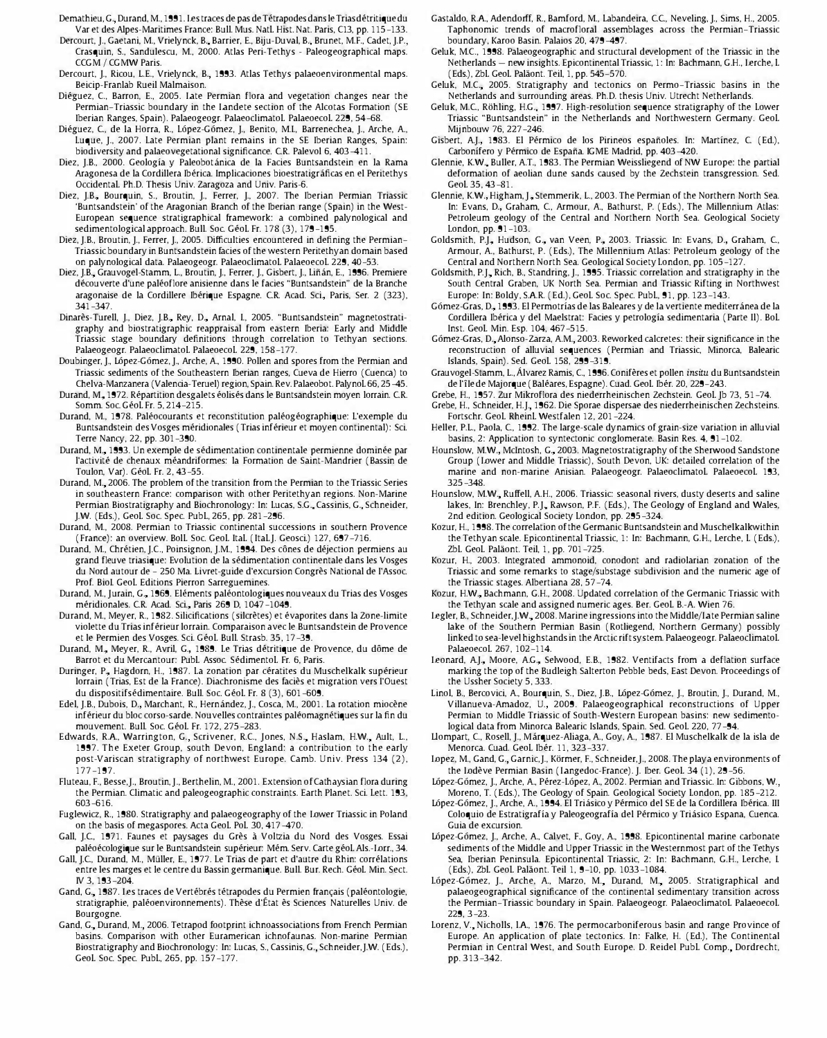- Demathieu, G., Durand, M., 1991. Les traces de pas de Tétrapodes dans le Trias détritique du Var et des Alpes-Maritimes France: Bull. Mus. Natl. Hist. Nat. Paris, C13, pp. 115-133.
- Dercourt, J., Gaetani, M., Vrielynck, B., Barrier, E., Biju-Duval, B., Brunet, M.F., Cadet, J.P., Crasquin, S., Sandulescu, M., 2000. Atlas Peri-Tethys - Paleogeographical maps. CCGM / CGMW Paris.
- Dercourt, J., Ricou, L.E., Vrielynck, B., 1993. Atlas Tethys palaeoenvironmental maps. Beicip-Franlab Rueil Malmaison,
- Diéguez, C., Barron, E., 2005. Late Permian flora and vegetation changes near the Permian-Triassic boundary in the Landete section of the Alcotas Formation (SE Iberian Ranges, Spain). Palaeogeogr. Palaeoclimatol. Palaeoecol. 229, 54-68.
- Diéguez, C., de la Horra, R., López-Gómez, J., Benito, M.I., Barrenechea, J., Arche, A., Luque, J., 2007. Late Permian plant remains in the SE Iberian Ranges, Spain: biodiversity and palaeovegetational significance, CR. Palevol 6, 403-411,
- Diez, J.B., 2000. Geología y Paleobotánica de la Facies Buntsandstein en la Rama Aragonesa de la Cordillera Iberica, Implicaciones bioestratigraficas en el Peritethys OccidentaL Ph,D, Thesis Univ, Zaragoza and Univ, Paris-6,
- Diez, J.B., Bourquin, S., Broutin, J., Ferrer, J., 2007. The Iberian Permian Triassic 'Buntsandstein' of the Aragonian Branch of the Iberian range (Spain) in the West-European sequence stratigraphical framework: a combined palynological and sedimentological approach, Bull. Soc. Géol. Fr. 178 (3), 179-195
- Diez, J.B., Broutin, J., Ferrer, J., 2005. Difficulties encountered in defining the Permian-Triassic boundary in Buntsandstein facies of the western Peritethyan domain based on palynological data. Palaeogeogr. Palaeoclimatol. Palaeoecol. 229, 40-53,
- Diez, J.B., Grauvogel-Stamm, L., Broutin, J., Ferrer, J., Gisbert, J., Liñán, E., 1996. Premiere decouverte d'une paleoflore anisienne dans le facies "Buntsandstein" de la Branche aragonaise de la Cordillere Ibérique Espagne. C.R. Acad. Sci., Paris, Ser. 2 (323), 341-347,
- Dinarès-Turell, J., Diez, J.B., Rey, D., Arnal, I., 2005. "Buntsandstein" magnetostratigraphy and biostratigraphic reappraisal from eastern Iberia: Early and Middle Triassic stage boundary definitions through correlation to Tethyan sections, Palaeogeogr. Palaeoclimatol. Palaeoecol. 229, 158-177.
- Doubinger, J., López-Gómez, J., Arche, A., 1990. Pollen and spores from the Permian and Triassic sediments of the Southeastern Iberian ranges, Cueva de Hierro (Cuenca) to Chelva-Manzanera (Valencia-Teruel) region, Spain. Rev. Palaeobot. Palynol. 66, 25-45. Durand, M., 1972. Répartition desgalets éolisés dans le Buntsandstein moyen lorrain. C.R.
- Somm. Soc. Géol. Fr. 5, 214-215.
- Durand, M., 1978. Paléocourants et reconstitution paléogéographique: L'exemple du Buntsandstein des Vosges méridionales (Trias inférieur et moyen continental): Sci. Terre Nancy, 22, pp, 301-390,
- Durand, M., 1993. Un exemple de sédimentation continentale permienne dominée par l'activite de chenaux meandriformes: la Formation de Saint-Mandrier (Bassin de Toulon, Var). Géol. Fr. 2, 43-55.
- Durand, M., 2006. The problem of the transition from the Permian to the Triassic Series in southeastern France: comparison with other Peritethyan regions, Non-Marine Permian Biostratigraphy and Biochronology: In: Lucas, S.G., Cassinis, G., Schneider, J,W (Eds,), GeoL Soc. Spec. PubL, 265, pp, 281-296,
- Durand, M, 2008. Permian to Triassic continental successions in southern Provence (France): an overview. Boll. Soc. Geol. Ital. (Ital.J. Geosci.) 127, 697-716
- Durand, M., Chrétien, J.C., Poinsignon, J.M., 1994. Des cônes de déjection permiens au grand fleuve triasique: Evolution de la sedimentation continentale dans les Vosges du Nord autour de - 250 Ma, Iivret-guide d'excursion Congres National de I'Assoc. Prof. BioI. GeoL Editions Pierron Sarreguemines,
- Durand, M., Jurain, G., 1969. Eléments paléontologiques nouveaux du Trias des Vosges méridionales. C.R. Acad. Sci., Paris 269 D, 1047-1049.
- Durand, M., Meyer, R., 1982. Silicifications (silcrètes) et évaporites dans la Zone-limite violette du Trias inferieur lorrain, Comparaison avec le Buntsandstein de Provence et le Permien des Vosges, Sci. GeoL Bull. Strasb, 35, 17-39,
- Durand, M., Meyer, R., Avril, G., 1989. Le Trias détritique de Provence, du dôme de Barrot et du Mercantour: PubL Assoc. SedimentoL Fr. 6, Paris,
- Duringer, P., Hagdorn, H., 1987. La zonation par cératites du Muschelkalk supérieur lorrain (Trias, Est de la France), Diachronisme des facies et migration vers I'Ouest du dispositifsédimentaire. Bull. Soc. Géol. Fr. 8 (3), 601-609
- Edel, J.B., Dubois, D., Marchant, R., Hernández, J., Cosca, M., 2001. La rotation miocène inférieur du bloc corso-sarde. Nouvelles contraintes paléomagnétiques sur la fin du mouvement. Bull. Soc. Géol. Fr. 172, 275-283.
- Edwards, R.A., Warrington, G., Scrivener, R.C., Jones, N.S., Haslam, H.W., Ault, L. 1997, The Exeter Group, south Devon, England: a contribution to the early post-Variscan stratigraphy of northwest Europe, Camb, Univ, Press 134 (2), 177-197,
- Fluteau, F., Besse, J., Broutin, J., Berthelin, M., 2001. Extension of Cathaysian flora during the Permian. Climatic and paleogeographic constraints. Earth Planet. Sci. Lett. 193, 603-616,
- Fuglewicz, R., 1980, Stratigraphy and palaeogeography of the Lower Triassic in Poland on the basis of megaspores, Acta GeoL PoL 30, 417-470,
- Gall, J.C., 1971. Faunes et paysages du Grès à Voltzia du Nord des Vosges. Essai paléoécologique sur le Buntsandstein supérieur: Mém. Serv. Carte géol. Als.-Lorr., 34.
- Gall, J,C, Durand, M, Muller, E., 1977, Le Trias de part et d'autre du Rhin: correlations entre les marges et le centre du Bassin germanique, Bull. Bur. Rech, GeoL Min, Sect IV 3, 193-204,
- Gand, G., 1987. Les traces de Vertébrés tétrapodes du Permien français (paléontologie, stratigraphie, paleoenvironnements), These d'Etat es Sciences Naturelles Univ, de Bourgogne,
- Gand, G., Durand, M., 2006. Tetrapod footprint ichnoassociations from French Permian basins, Comparison with other Euramerican ichnofaunas, Non-marine Permian Biostratigraphy and Biochronology: In: Lucas, S., Cassinis, G., Schneider, J.W. (Eds.), GeoL Soc. Spec. PubL, 265, pp, 157-177,
- Gastaldo, R.A., Adendorff, R., Bamford, M., Labandeira, C.C., Neveling, J., Sims, H., 2005. Taphonomic trends of macrofloral assemblages across the Permian-Triassic boundary, Karoo Basin, Palaios 20, 479-497,
- Geluk, M.C., 1998. Palaeogeographic and structural development of the Triassic in the Netherlands - new insights, Epicontinental Triassic, 1: In: Bachmann, G.H., Lerche, L. (Eds.), Zbl. Geol. Paläont. Teil, 1, pp. 545-570.
- Geluk, M.C., 2005. Stratigraphy and tectonics on Permo-Triassic basins in the Netherlands and surrounding areas, Ph,D, thesis Univ, Utrecht Netherlands,
- Geluk, M.C., Röhling, H.G., 1997. High-resolution sequence stratigraphy of the Lower Triassic "Buntsandstein" in the Netherlands and Northwestern Germany, GeoL Mijnbouw 76, 227-246,
- Gisbert, A.J., 1983. El Pérmico de los Pirineos españoles. In: Martínez, C. (Ed.), Carbonífero y Pérmico de España. IGME Madrid, pp. 403-420.
- Glennie, K.W., Buller, A.T., 1983. The Permian Weissliegend of NW Europe: the partial deformation of aeolian dune sands caused by the Zechstein transgression, Sed, GeoL 35, 43-81,
- Glennie, K.W., Higham, J., Stemmerik, L., 2003. The Permian of the Northern North Sea. In: Evans, D., Graham, C., Armour, A., Bathurst, P. (Eds.), The Millennium Atlas: Petroleum geology of the Central and Northern North Sea, Geological Society London, pp, 91-103,
- Goldsmith, P.J., Hudson, G., van Veen, P., 2003. Triassic. In: Evans, D., Graham, C., Armour, A, Bathurst, p, (Eds,), The Millennium Atlas: Petroleum geology of the Central and Northern North Sea, Geological Society London, pp, 105-127,
- Goldsmith, P.J., Rich, B., Standring, J., 1995. Triassic correlation and stratigraphy in the South Central Graben, UK North Sea, Permian and Triassic Rifting in Northwest Europe: In: Boldy, SAR. (Ed,), GeoL Soc. Spec. PubL, 91, pp, 123-143,
- Gómez-Gras, D., 1993. El Permotrías de las Baleares y de la vertiente mediterránea de la Cordillera Ibérica y del Maelstrat: Facies y petrología sedimentaria (Parte II). Bol. Inst. Geol. Min. Esp. 104, 467-515.
- Gómez-Gras, D., Alonso-Zarza, A.M., 2003. Reworked calcretes: their significance in the reconstruction of alluvial sequences (Permian and Triassic, Minorca, Balearic Islands, Spain), Sed, GeoL 158, 299-319,
- Grauvogel-Stamm, L,Alvarez Ramis, C, 1996, Coniferes et pollen insitu du Buntsandstein de l'île de Majorque (Baléares, Espagne). Cuad. Geol. Ibér. 20, 229-243.
- Grebe, H., 1957, Zur Mikroflora des niederrheinischen Zechstein, GeoL jb 73, 51-74,
- Grebe, H., Schneider, H.J., 1962. Die Sporae dispersae des niederrheinischen Zechsteins. Fortschr. GeoL RheinL Westfalen 12, 201-224,
- Helier, PL, Paola, C, 1992, The large-scale dynamics of grain-size variation in alluvial basins, 2: Application to syntectonic conglomerate. Basin Res. 4, 91-102.
- Hounslow, M.W., McIntosh, G., 2003. Magnetostratigraphy of the Sherwood Sandstone Group (Lower and Middle Triassic), South Devon, UK: detailed correlation of the marine and non-marine Anisian. Palaeogeogr. Palaeoclimatol. Palaeoecol. 193, 325-348.
- Hounslow, M.W., Ruffell, A.H., 2006. Triassic: seasonal rivers, dusty deserts and saline lakes, In: Brenchley, P.J., Rawson, P.F. (Eds.), The Geology of England and Wales, 2nd edition, Geological Society London, pp, 295-324,
- Kozur, H., 1998, The correlation of the Germanic Buntsandstein and Muschelkalkwithin the Tethyan scale, Epicontinental Triassic, 1: In: Bachmann, G,H., Lerche, L (Eds,), Zbl. Geol. Paläont. Teil, 1, pp. 701-725.
- Kozur, H., 2003, Integrated ammonoid, conodont and radiolarian zonation of the Triassic and some remarks to stage/substage subdivision and the numeric age of the Triassic stages, Albertiana 28, 57-74,
- Kozur, H.W., Bachmann, G.H., 2008. Updated correlation of the Germanic Triassic with the Tethyan scale and assigned numeric ages, Ber. GeoL B,-A Wien 76,
- Legler, B., Schneider, J.W., 2008. Marine ingressions into the Middle/Late Permian saline lake of the Southern Permian Basin (Rotliegend, Northern Germany) possibly linked to sea-level highstands in the Arctic rift system. Palaeogeogr. Palaeoclimatol. PalaeoecoL 267, 102-114,
- Leonard, A.J., Moore, A.G., Selwood, E.B., 1982. Ventifacts from a deflation surface marking the top of the Budleigh Salterton Pebble beds, East Devon, Proceedings of the Ussher Society 5, 333,
- Linol, B., Bercovici, A., Bourquin, S., Diez, J.B., López-Gómez, J., Broutin, J., Durand, M., Villanueva-Amadoz, U., 2009. Palaeogeographical reconstructions of Upper Permian to Middle Triassic of South-Western European basins: new sedimentological data from Minorca Balearic Islands, Spain, Sed, GeoL 220, 77-94,
- Llompart, C., Rosell, J., Márquez-Aliaga, A., Goy, A., 1987. El Muschelkalk de la isla de Menorca, Cuad, GeoL Iber. 11, 323-337,
- Lopez, M., Gand, G., Garnic, J., Körmer, F., Schneider, J., 2008. The playa environments of the Lodève Permian Basin (Langedoc-France). J. Iber. Geol. 34 (1), 29-56
- López-Gómez, J., Arche, A., Pérez-López, A., 2002. Permian and Triassic. In: Gibbons, W., Moreno, T. (Eds,), The Geology of Spain, Geological Society London, pp, 185-212,
- López-Gómez, J., Arche, A., 1994. El Triásico y Pérmico del SE de la Cordillera Ibérica. III Coloquio de Estratigrafia y Paleogeografia del Permico y Triasico Espana, Cuenca, Guia de excursion,
- López-Gómez, J., Arche, A., Calvet, F., Goy, A., 1998. Epicontinental marine carbonate sediments of the Middle and Upper Triassic in the Westernmost part of the Tethys Sea, Iberian Peninsula, Epicontinental Triassic, 2: In: Bachmann, G,H., Lerche, I. (Eds.), Zbl. Geol. Paläont. Teil 1, 9-10, pp. 1033-1084.
- López-Gómez, J., Arche, A., Marzo, M., Durand, M., 2005. Stratigraphical and palaeogeographical significance of the continental sedimentary transition across the Permian-Triassic boundary in Spain. Palaeogeogr. Palaeoclimatol. Palaeoecol. 229, 3-23,
- Lorenz, V., Nicholls, l.A., 1976. The permocarboniferous basin and range Province of Europe, An application of plate tectonics, In: Falke, H. (Ed,), The Continental Permian in Central West, and South Europe. D. Reidel Publ. Comp., Dordrecht, pp, 313-342,